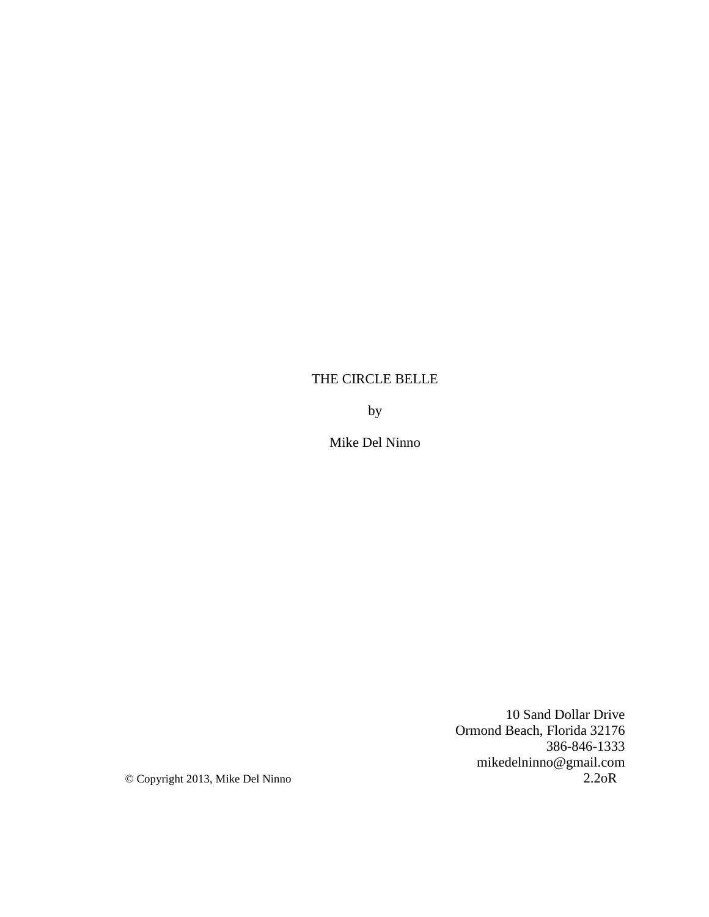# THE CIRCLE BELLE

by

Mike Del Ninno

10 Sand Dollar Drive Ormond Beach, Florida 32176 386-846-1333 mikedelninno@gmail.com © Copyright 2013, Mike Del Ninno 2.2oR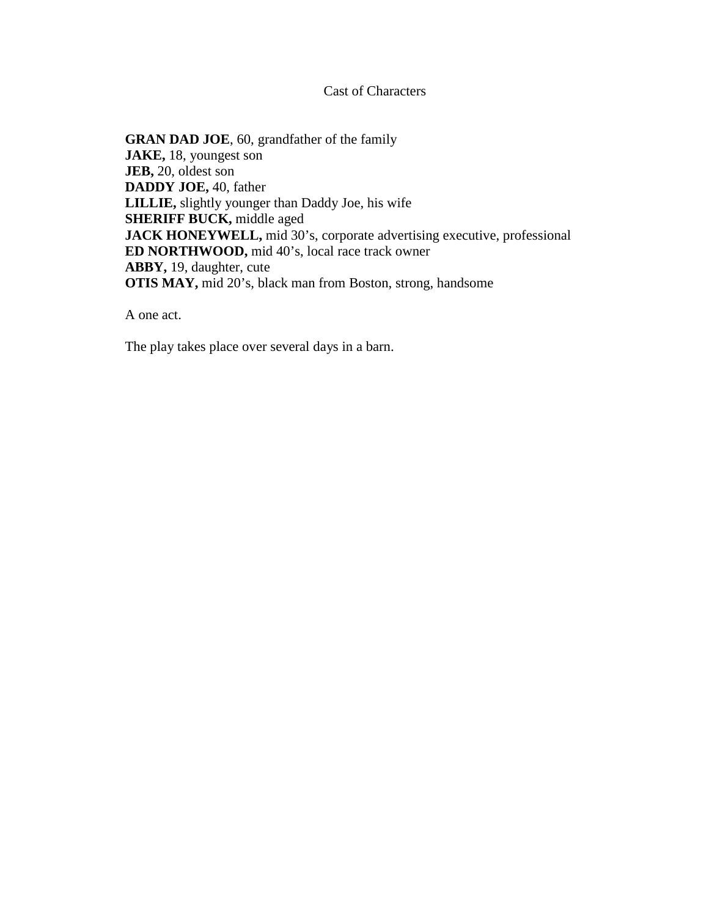Cast of Characters

**GRAN DAD JOE**, 60, grandfather of the family **JAKE,** 18, youngest son **JEB,** 20, oldest son **DADDY JOE,** 40, father **LILLIE,** slightly younger than Daddy Joe, his wife **SHERIFF BUCK,** middle aged **JACK HONEYWELL,** mid 30's, corporate advertising executive, professional **ED NORTHWOOD,** mid 40's, local race track owner **ABBY,** 19, daughter, cute **OTIS MAY,** mid 20's, black man from Boston, strong, handsome

A one act.

The play takes place over several days in a barn.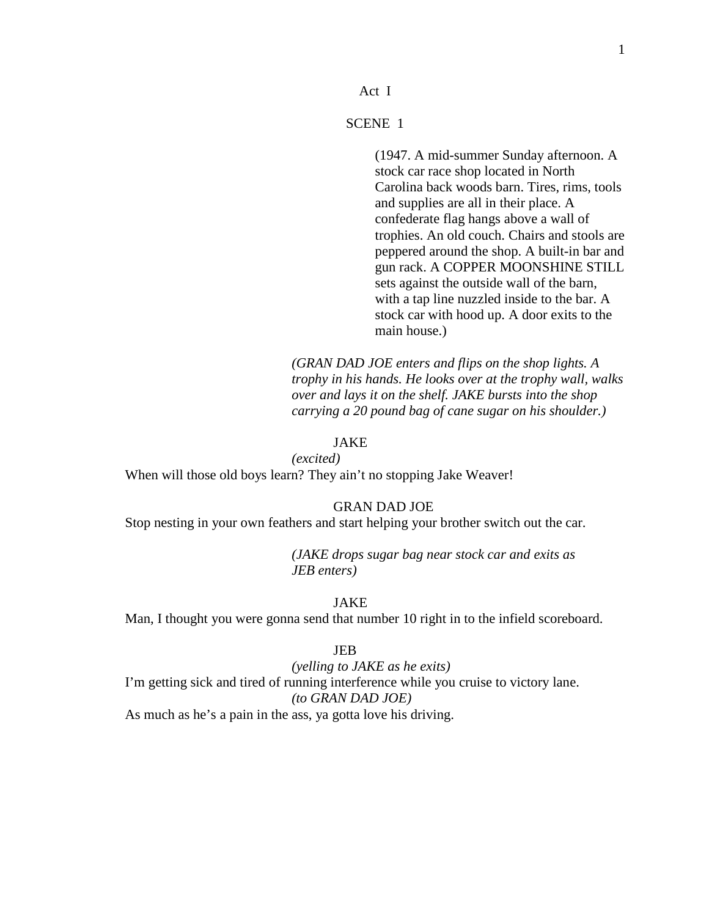#### Act I

# SCENE 1

(1947. A mid-summer Sunday afternoon. A stock car race shop located in North Carolina back woods barn. Tires, rims, tools and supplies are all in their place. A confederate flag hangs above a wall of trophies. An old couch. Chairs and stools are peppered around the shop. A built-in bar and gun rack. A COPPER MOONSHINE STILL sets against the outside wall of the barn, with a tap line nuzzled inside to the bar. A stock car with hood up. A door exits to the main house.)

*(GRAN DAD JOE enters and flips on the shop lights. A trophy in his hands. He looks over at the trophy wall, walks over and lays it on the shelf. JAKE bursts into the shop carrying a 20 pound bag of cane sugar on his shoulder.)*

# JAKE

*(excited)*

When will those old boys learn? They ain't no stopping Jake Weaver!

GRAN DAD JOE

Stop nesting in your own feathers and start helping your brother switch out the car.

*(JAKE drops sugar bag near stock car and exits as JEB enters)*

#### JAKE

Man, I thought you were gonna send that number 10 right in to the infield scoreboard.

## JEB

*(yelling to JAKE as he exits)* I'm getting sick and tired of running interference while you cruise to victory lane. *(to GRAN DAD JOE)* As much as he's a pain in the ass, ya gotta love his driving.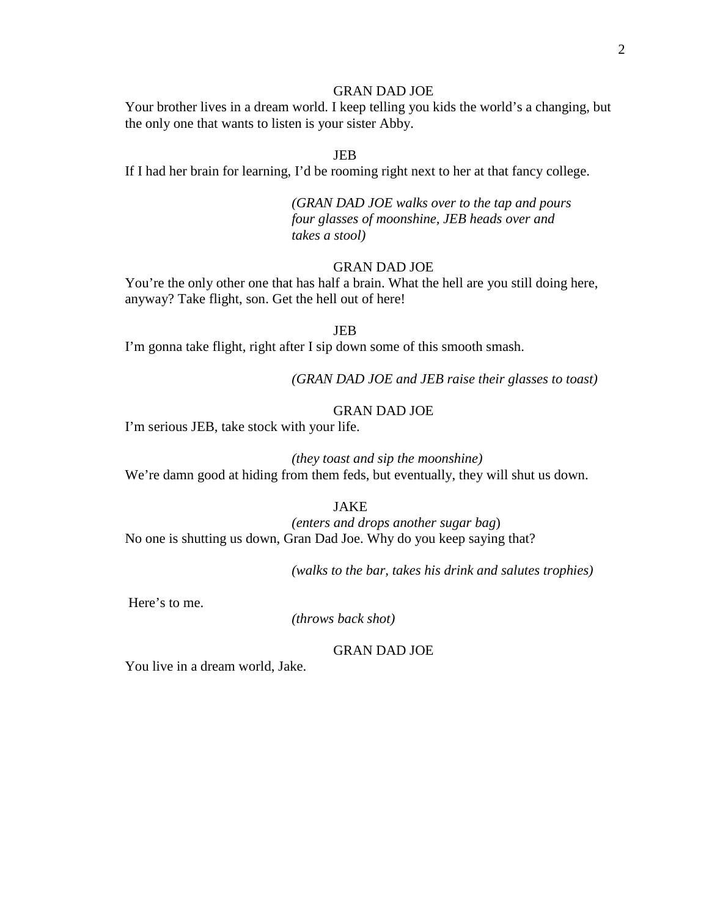Your brother lives in a dream world. I keep telling you kids the world's a changing, but the only one that wants to listen is your sister Abby.

#### JEB

If I had her brain for learning, I'd be rooming right next to her at that fancy college.

*(GRAN DAD JOE walks over to the tap and pours four glasses of moonshine, JEB heads over and takes a stool)*

# GRAN DAD JOE

You're the only other one that has half a brain. What the hell are you still doing here, anyway? Take flight, son. Get the hell out of here!

#### JEB

I'm gonna take flight, right after I sip down some of this smooth smash.

*(GRAN DAD JOE and JEB raise their glasses to toast)*

## GRAN DAD JOE

I'm serious JEB, take stock with your life.

# *(they toast and sip the moonshine)*

We're damn good at hiding from them feds, but eventually, they will shut us down.

#### JAKE

*(enters and drops another sugar bag*) No one is shutting us down, Gran Dad Joe. Why do you keep saying that?

*(walks to the bar, takes his drink and salutes trophies)*

Here's to me.

*(throws back shot)*

# GRAN DAD JOE

You live in a dream world, Jake.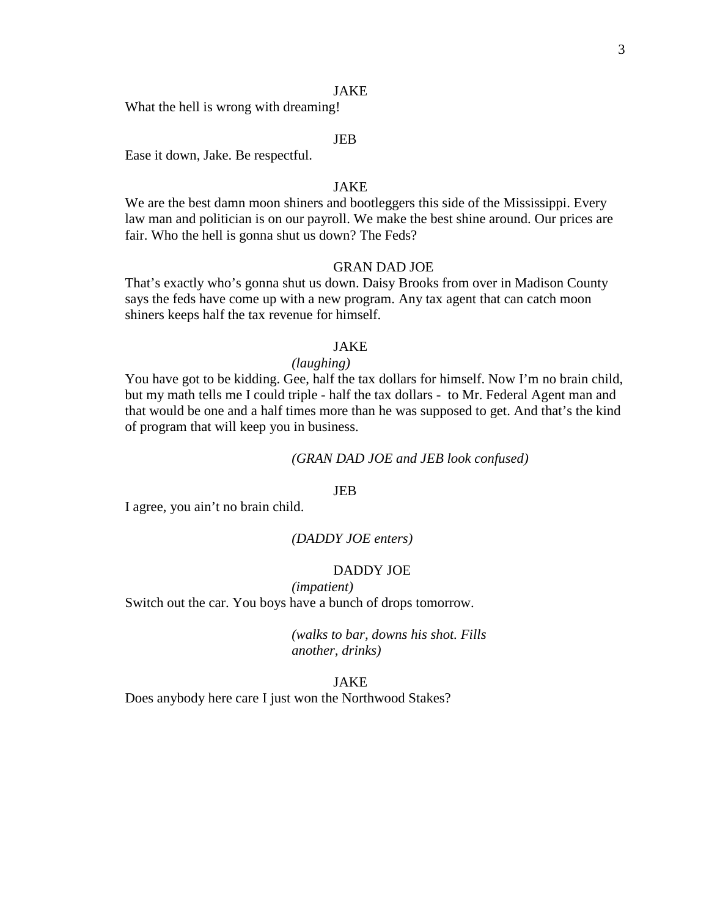#### JAKE

What the hell is wrong with dreaming!

#### JEB

Ease it down, Jake. Be respectful.

## JAKE

We are the best damn moon shiners and bootleggers this side of the Mississippi. Every law man and politician is on our payroll. We make the best shine around. Our prices are fair. Who the hell is gonna shut us down? The Feds?

#### GRAN DAD JOE

That's exactly who's gonna shut us down. Daisy Brooks from over in Madison County says the feds have come up with a new program. Any tax agent that can catch moon shiners keeps half the tax revenue for himself.

## JAKE

#### *(laughing)*

You have got to be kidding. Gee, half the tax dollars for himself. Now I'm no brain child, but my math tells me I could triple - half the tax dollars - to Mr. Federal Agent man and that would be one and a half times more than he was supposed to get. And that's the kind of program that will keep you in business.

#### *(GRAN DAD JOE and JEB look confused)*

#### JEB

I agree, you ain't no brain child.

#### *(DADDY JOE enters)*

## DADDY JOE

*(impatient)* Switch out the car. You boys have a bunch of drops tomorrow.

> *(walks to bar, downs his shot. Fills another, drinks)*

#### JAKE

Does anybody here care I just won the Northwood Stakes?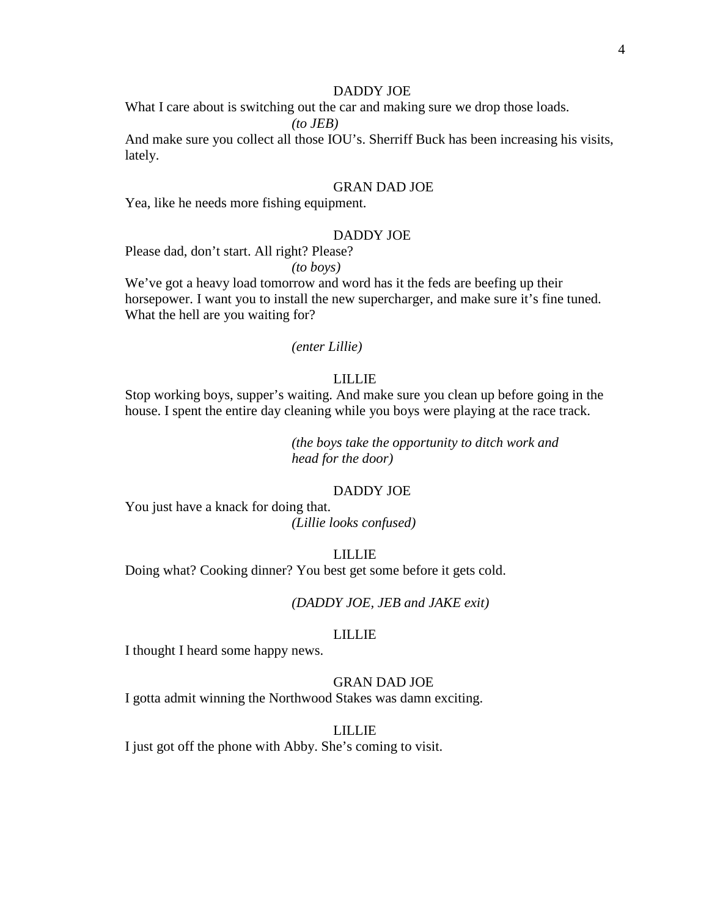#### DADDY JOE

What I care about is switching out the car and making sure we drop those loads.

*(to JEB)*

And make sure you collect all those IOU's. Sherriff Buck has been increasing his visits, lately.

## GRAN DAD JOE

Yea, like he needs more fishing equipment.

#### DADDY JOE

Please dad, don't start. All right? Please?

*(to boys)*

We've got a heavy load tomorrow and word has it the feds are beefing up their horsepower. I want you to install the new supercharger, and make sure it's fine tuned. What the hell are you waiting for?

## *(enter Lillie)*

# LILLIE

Stop working boys, supper's waiting. And make sure you clean up before going in the house. I spent the entire day cleaning while you boys were playing at the race track.

> *(the boys take the opportunity to ditch work and head for the door)*

## DADDY JOE

You just have a knack for doing that.

*(Lillie looks confused)*

## LILLIE

Doing what? Cooking dinner? You best get some before it gets cold.

*(DADDY JOE, JEB and JAKE exit)*

#### LILLIE

I thought I heard some happy news.

#### GRAN DAD JOE

I gotta admit winning the Northwood Stakes was damn exciting.

#### LILLIE

I just got off the phone with Abby. She's coming to visit.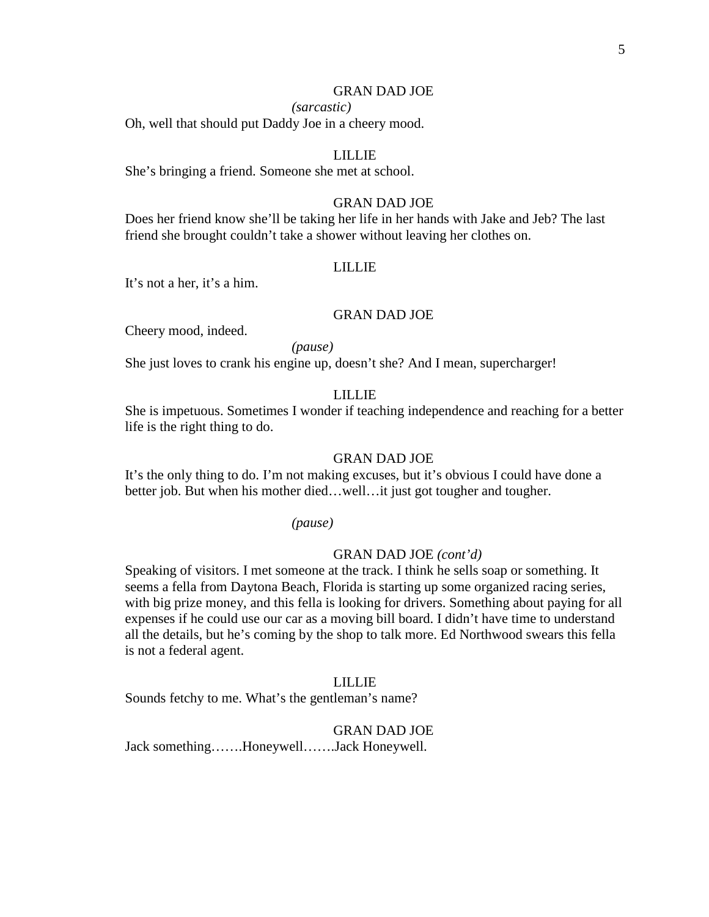#### *(sarcastic)*

Oh, well that should put Daddy Joe in a cheery mood.

#### LILLIE

She's bringing a friend. Someone she met at school.

## GRAN DAD JOE

Does her friend know she'll be taking her life in her hands with Jake and Jeb? The last friend she brought couldn't take a shower without leaving her clothes on.

## LILLIE

It's not a her, it's a him.

#### GRAN DAD JOE

Cheery mood, indeed.

*(pause)*

She just loves to crank his engine up, doesn't she? And I mean, supercharger!

# LILLIE

She is impetuous. Sometimes I wonder if teaching independence and reaching for a better life is the right thing to do.

#### GRAN DAD JOE

It's the only thing to do. I'm not making excuses, but it's obvious I could have done a better job. But when his mother died...well...it just got tougher and tougher.

*(pause)*

## GRAN DAD JOE *(cont'd)*

Speaking of visitors. I met someone at the track. I think he sells soap or something. It seems a fella from Daytona Beach, Florida is starting up some organized racing series, with big prize money, and this fella is looking for drivers. Something about paying for all expenses if he could use our car as a moving bill board. I didn't have time to understand all the details, but he's coming by the shop to talk more. Ed Northwood swears this fella is not a federal agent.

#### LILLIE

Sounds fetchy to me. What's the gentleman's name?

#### GRAN DAD JOE

Jack something…….Honeywell…….Jack Honeywell.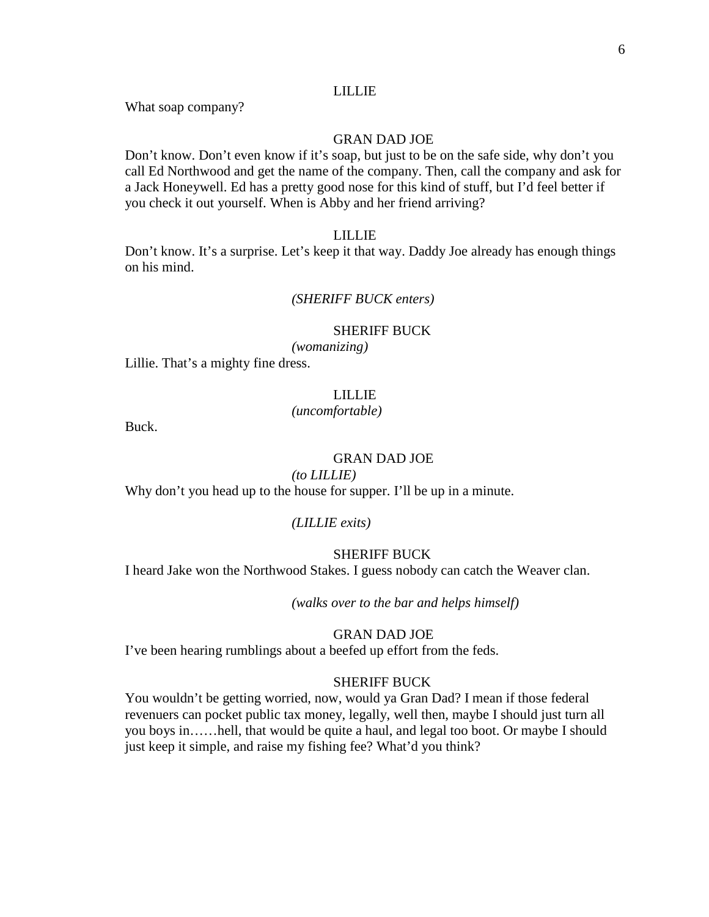#### LILLIE

What soap company?

# GRAN DAD JOE

Don't know. Don't even know if it's soap, but just to be on the safe side, why don't you call Ed Northwood and get the name of the company. Then, call the company and ask for a Jack Honeywell. Ed has a pretty good nose for this kind of stuff, but I'd feel better if you check it out yourself. When is Abby and her friend arriving?

#### LILLIE

Don't know. It's a surprise. Let's keep it that way. Daddy Joe already has enough things on his mind.

## *(SHERIFF BUCK enters)*

# SHERIFF BUCK

*(womanizing)*

Lillie. That's a mighty fine dress.

# LILLIE

#### *(uncomfortable)*

Buck.

# GRAN DAD JOE

# *(to LILLIE)*

Why don't you head up to the house for supper. I'll be up in a minute.

#### *(LILLIE exits)*

## SHERIFF BUCK

I heard Jake won the Northwood Stakes. I guess nobody can catch the Weaver clan.

*(walks over to the bar and helps himself)*

#### GRAN DAD JOE

I've been hearing rumblings about a beefed up effort from the feds.

#### SHERIFF BUCK

You wouldn't be getting worried, now, would ya Gran Dad? I mean if those federal revenuers can pocket public tax money, legally, well then, maybe I should just turn all you boys in……hell, that would be quite a haul, and legal too boot. Or maybe I should just keep it simple, and raise my fishing fee? What'd you think?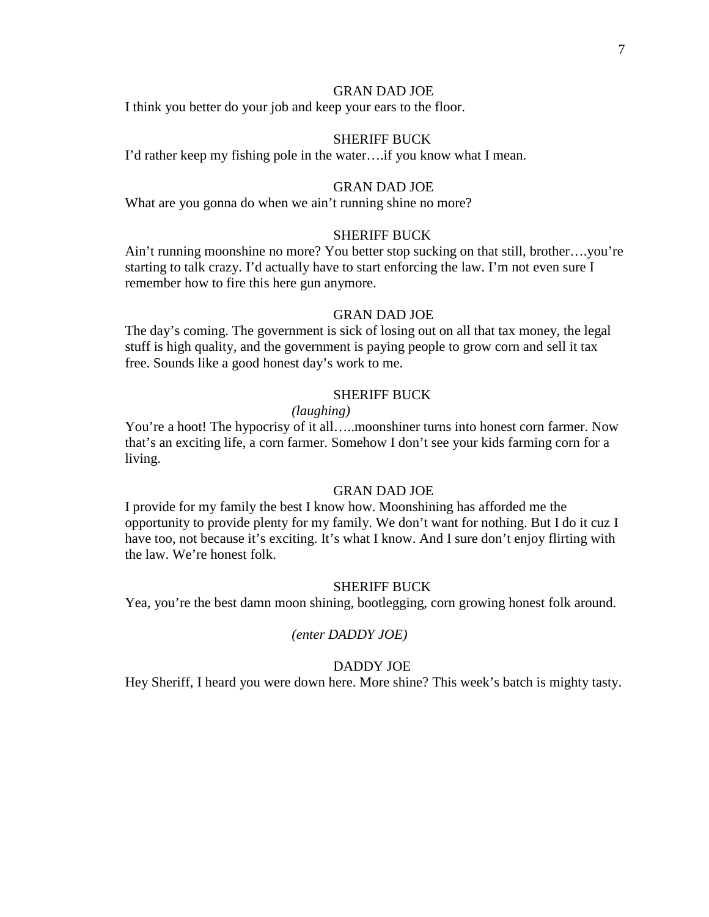I think you better do your job and keep your ears to the floor.

## SHERIFF BUCK

I'd rather keep my fishing pole in the water….if you know what I mean.

# GRAN DAD JOE

What are you gonna do when we ain't running shine no more?

## SHERIFF BUCK

Ain't running moonshine no more? You better stop sucking on that still, brother….you're starting to talk crazy. I'd actually have to start enforcing the law. I'm not even sure I remember how to fire this here gun anymore.

#### GRAN DAD JOE

The day's coming. The government is sick of losing out on all that tax money, the legal stuff is high quality, and the government is paying people to grow corn and sell it tax free. Sounds like a good honest day's work to me.

#### SHERIFF BUCK

## *(laughing)*

You're a hoot! The hypocrisy of it all…..moonshiner turns into honest corn farmer. Now that's an exciting life, a corn farmer. Somehow I don't see your kids farming corn for a living.

# GRAN DAD JOE

I provide for my family the best I know how. Moonshining has afforded me the opportunity to provide plenty for my family. We don't want for nothing. But I do it cuz I have too, not because it's exciting. It's what I know. And I sure don't enjoy flirting with the law. We're honest folk.

#### SHERIFF BUCK

Yea, you're the best damn moon shining, bootlegging, corn growing honest folk around.

#### *(enter DADDY JOE)*

# DADDY JOE

Hey Sheriff, I heard you were down here. More shine? This week's batch is mighty tasty.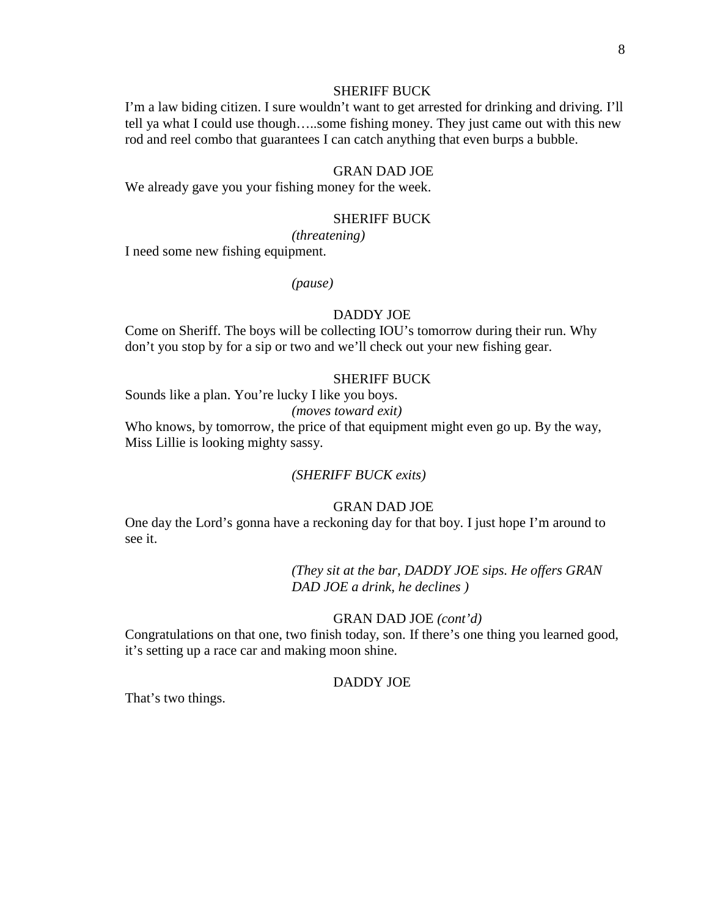## SHERIFF BUCK

I'm a law biding citizen. I sure wouldn't want to get arrested for drinking and driving. I'll tell ya what I could use though…..some fishing money. They just came out with this new rod and reel combo that guarantees I can catch anything that even burps a bubble.

## GRAN DAD JOE

We already gave you your fishing money for the week.

# SHERIFF BUCK

*(threatening)*

I need some new fishing equipment.

*(pause)*

#### DADDY JOE

Come on Sheriff. The boys will be collecting IOU's tomorrow during their run. Why don't you stop by for a sip or two and we'll check out your new fishing gear.

#### SHERIFF BUCK

Sounds like a plan. You're lucky I like you boys. *(moves toward exit)*

Who knows, by tomorrow, the price of that equipment might even go up. By the way, Miss Lillie is looking mighty sassy.

## *(SHERIFF BUCK exits)*

#### GRAN DAD JOE

One day the Lord's gonna have a reckoning day for that boy. I just hope I'm around to see it.

> *(They sit at the bar, DADDY JOE sips. He offers GRAN DAD JOE a drink, he declines )*

#### GRAN DAD JOE *(cont'd)*

Congratulations on that one, two finish today, son. If there's one thing you learned good, it's setting up a race car and making moon shine.

#### DADDY JOE

That's two things.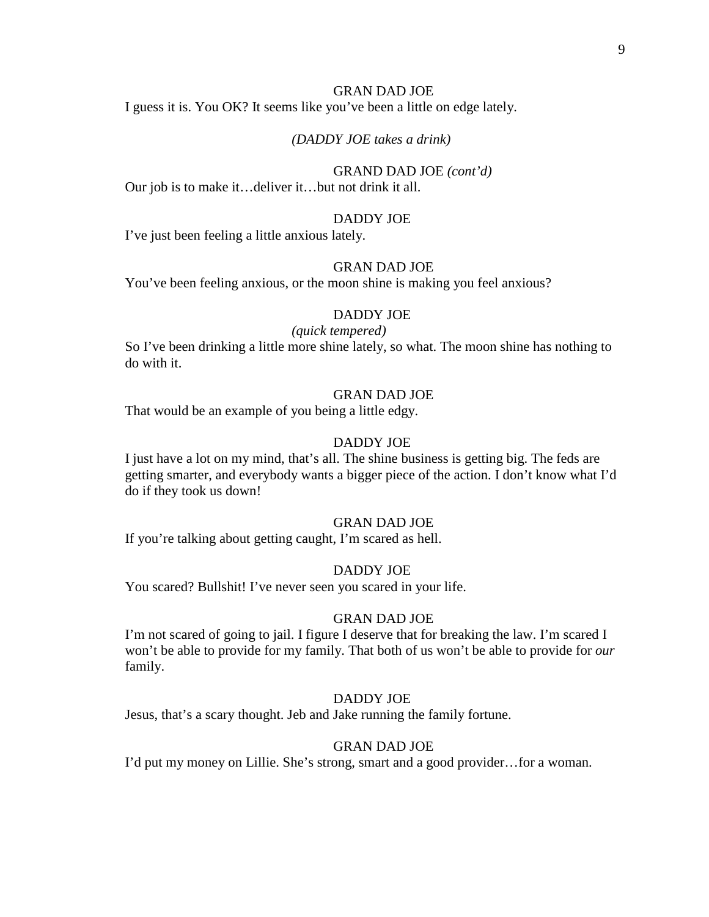I guess it is. You OK? It seems like you've been a little on edge lately.

## *(DADDY JOE takes a drink)*

# GRAND DAD JOE *(cont'd)*

Our job is to make it…deliver it…but not drink it all.

#### DADDY JOE

I've just been feeling a little anxious lately.

# GRAN DAD JOE

You've been feeling anxious, or the moon shine is making you feel anxious?

#### DADDY JOE

#### *(quick tempered)*

So I've been drinking a little more shine lately, so what. The moon shine has nothing to do with it.

#### GRAN DAD JOE

That would be an example of you being a little edgy.

#### DADDY JOE

I just have a lot on my mind, that's all. The shine business is getting big. The feds are getting smarter, and everybody wants a bigger piece of the action. I don't know what I'd do if they took us down!

#### GRAN DAD JOE

If you're talking about getting caught, I'm scared as hell.

#### DADDY JOE

You scared? Bullshit! I've never seen you scared in your life.

#### GRAN DAD JOE

I'm not scared of going to jail. I figure I deserve that for breaking the law. I'm scared I won't be able to provide for my family. That both of us won't be able to provide for *our* family.

#### DADDY JOE

Jesus, that's a scary thought. Jeb and Jake running the family fortune.

## GRAN DAD JOE

I'd put my money on Lillie. She's strong, smart and a good provider…for a woman.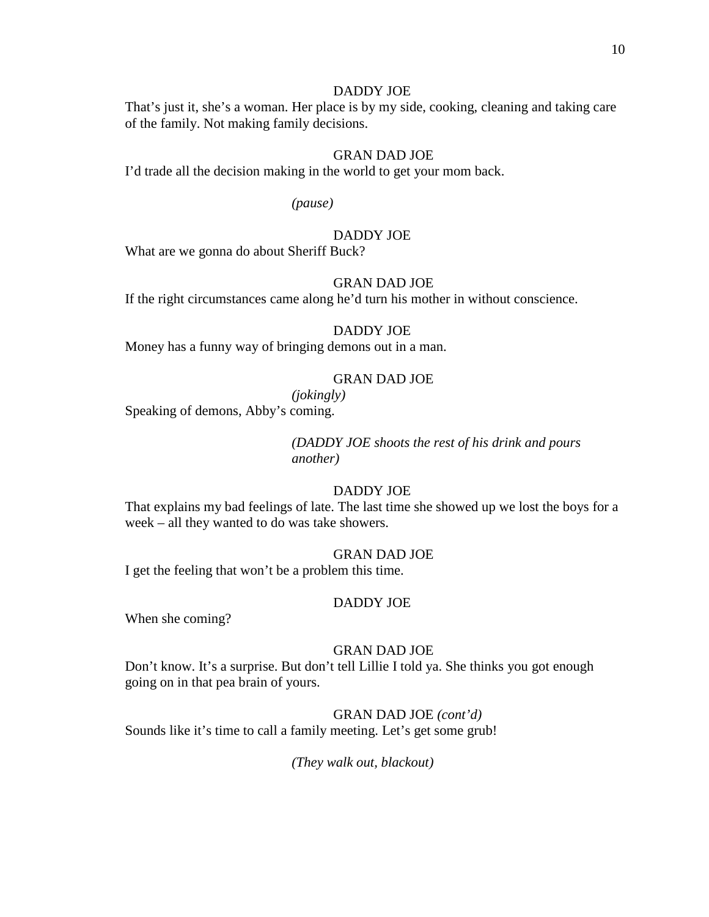## DADDY JOE

That's just it, she's a woman. Her place is by my side, cooking, cleaning and taking care of the family. Not making family decisions.

# GRAN DAD JOE

I'd trade all the decision making in the world to get your mom back.

*(pause)*

# DADDY JOE

What are we gonna do about Sheriff Buck?

#### GRAN DAD JOE

If the right circumstances came along he'd turn his mother in without conscience.

#### DADDY JOE

Money has a funny way of bringing demons out in a man.

# GRAN DAD JOE

*(jokingly)*

Speaking of demons, Abby's coming.

*(DADDY JOE shoots the rest of his drink and pours another)*

# DADDY JOE

That explains my bad feelings of late. The last time she showed up we lost the boys for a week – all they wanted to do was take showers.

#### GRAN DAD JOE

I get the feeling that won't be a problem this time.

#### DADDY JOE

When she coming?

# GRAN DAD JOE

Don't know. It's a surprise. But don't tell Lillie I told ya. She thinks you got enough going on in that pea brain of yours.

# GRAN DAD JOE *(cont'd)*

Sounds like it's time to call a family meeting. Let's get some grub!

*(They walk out, blackout)*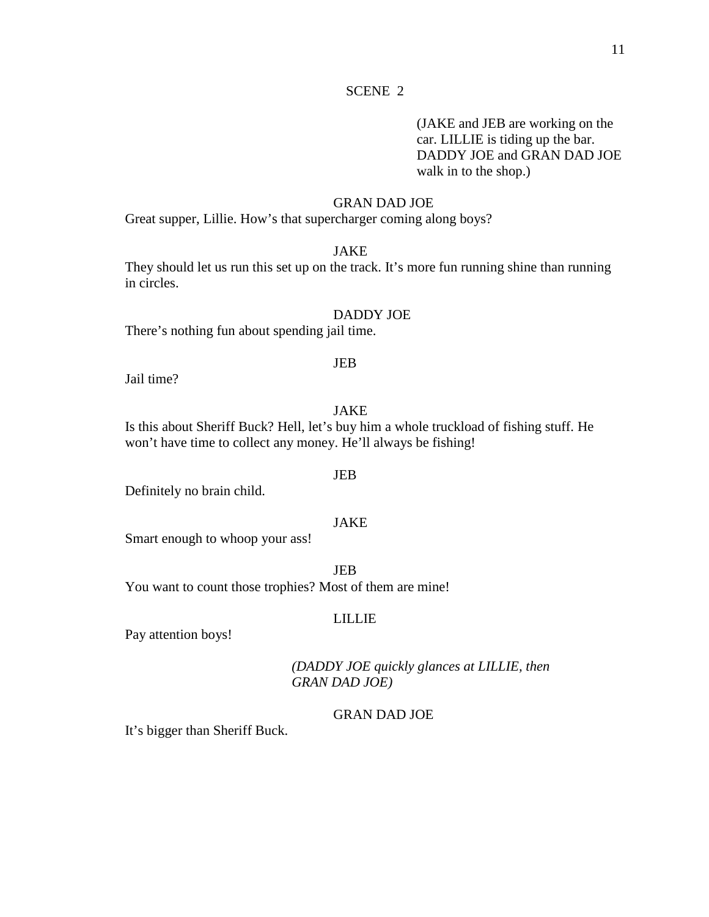# SCENE 2

(JAKE and JEB are working on the car. LILLIE is tiding up the bar. DADDY JOE and GRAN DAD JOE walk in to the shop.)

# GRAN DAD JOE

Great supper, Lillie. How's that supercharger coming along boys?

# JAKE

They should let us run this set up on the track. It's more fun running shine than running in circles.

#### DADDY JOE

There's nothing fun about spending jail time.

# Jail time?

## JAKE

JEB

Is this about Sheriff Buck? Hell, let's buy him a whole truckload of fishing stuff. He won't have time to collect any money. He'll always be fishing!

#### JEB

Definitely no brain child.

# JAKE

Smart enough to whoop your ass!

JEB You want to count those trophies? Most of them are mine!

## LILLIE

Pay attention boys!

*(DADDY JOE quickly glances at LILLIE, then GRAN DAD JOE)*

# GRAN DAD JOE

It's bigger than Sheriff Buck.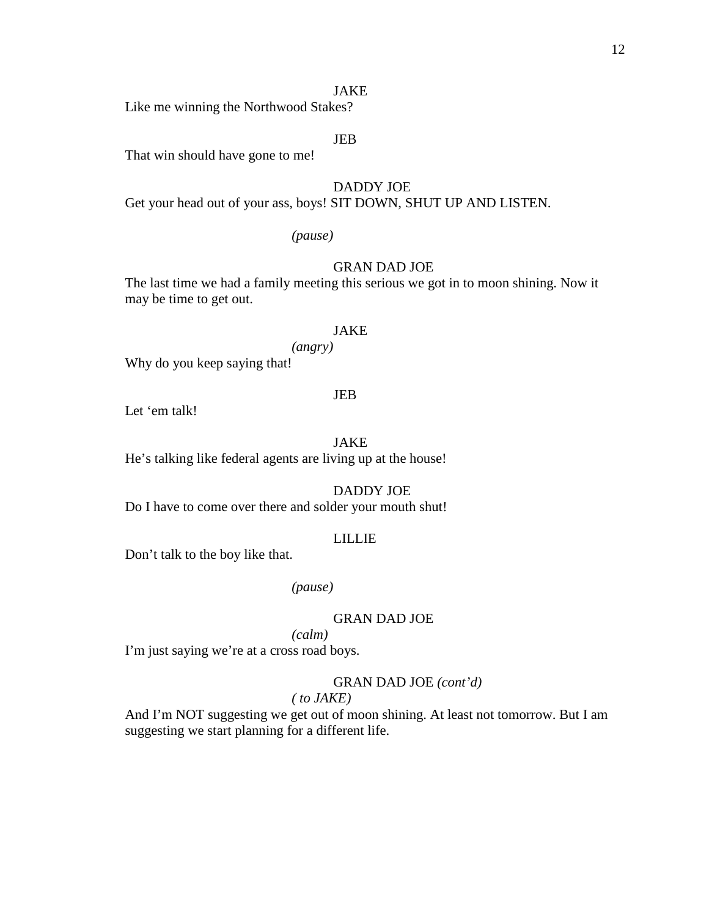#### JAKE

Like me winning the Northwood Stakes?

#### JEB

That win should have gone to me!

#### DADDY JOE

Get your head out of your ass, boys! SIT DOWN, SHUT UP AND LISTEN.

# *(pause)*

# GRAN DAD JOE

The last time we had a family meeting this serious we got in to moon shining. Now it may be time to get out.

#### JAKE

*(angry)*

Why do you keep saying that!

## JEB

Let 'em talk!

# JAKE

He's talking like federal agents are living up at the house!

# DADDY JOE

Do I have to come over there and solder your mouth shut!

#### LILLIE

Don't talk to the boy like that.

# *(pause)*

## GRAN DAD JOE

*(calm)*

I'm just saying we're at a cross road boys.

#### GRAN DAD JOE *(cont'd)*

#### *( to JAKE)*

And I'm NOT suggesting we get out of moon shining. At least not tomorrow. But I am suggesting we start planning for a different life.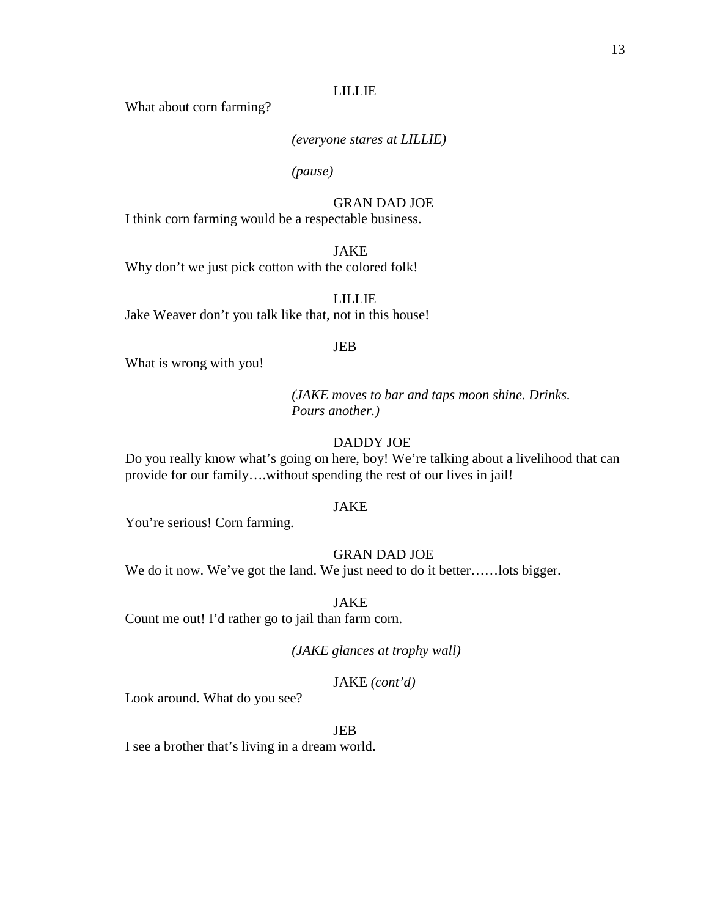#### LILLIE

What about corn farming?

# *(everyone stares at LILLIE)*

*(pause)*

# GRAN DAD JOE

I think corn farming would be a respectable business.

JAKE

Why don't we just pick cotton with the colored folk!

LILLIE Jake Weaver don't you talk like that, not in this house!

#### JEB

What is wrong with you!

*(JAKE moves to bar and taps moon shine. Drinks. Pours another.)*

# DADDY JOE

Do you really know what's going on here, boy! We're talking about a livelihood that can provide for our family….without spending the rest of our lives in jail!

#### JAKE

You're serious! Corn farming.

# GRAN DAD JOE

We do it now. We've got the land. We just need to do it better......lots bigger.

JAKE

Count me out! I'd rather go to jail than farm corn.

*(JAKE glances at trophy wall)*

## JAKE *(cont'd)*

Look around. What do you see?

JEB

I see a brother that's living in a dream world.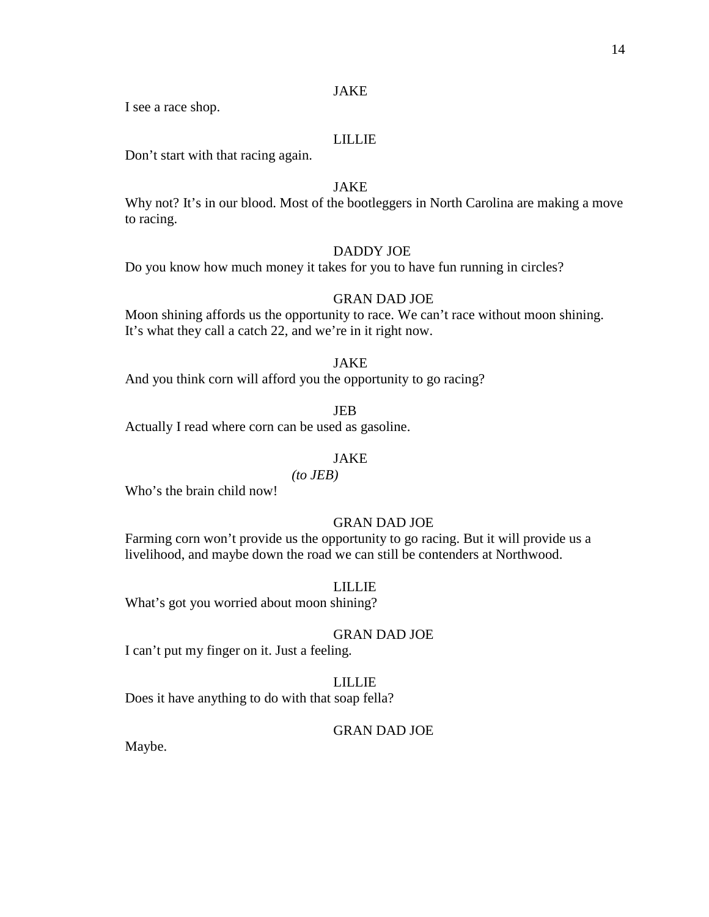# JAKE

I see a race shop.

# LILLIE

Don't start with that racing again.

# JAKE

Why not? It's in our blood. Most of the bootleggers in North Carolina are making a move to racing.

# DADDY JOE

Do you know how much money it takes for you to have fun running in circles?

# GRAN DAD JOE

Moon shining affords us the opportunity to race. We can't race without moon shining. It's what they call a catch 22, and we're in it right now.

#### JAKE

And you think corn will afford you the opportunity to go racing?

JEB

Actually I read where corn can be used as gasoline.

#### JAKE

*(to JEB)*

Who's the brain child now!

# GRAN DAD JOE

Farming corn won't provide us the opportunity to go racing. But it will provide us a livelihood, and maybe down the road we can still be contenders at Northwood.

#### LILLIE

What's got you worried about moon shining?

#### GRAN DAD JOE

I can't put my finger on it. Just a feeling.

# LILLIE

Does it have anything to do with that soap fella?

#### GRAN DAD JOE

Maybe.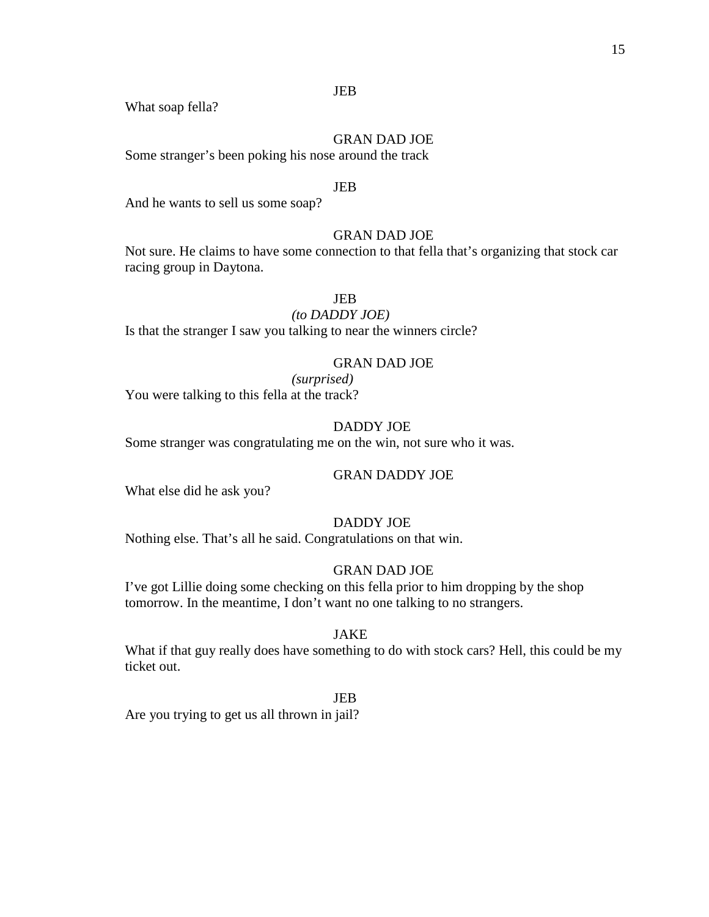# JEB

What soap fella?

GRAN DAD JOE

Some stranger's been poking his nose around the track

# JEB

And he wants to sell us some soap?

# GRAN DAD JOE

Not sure. He claims to have some connection to that fella that's organizing that stock car racing group in Daytona.

# JEB

*(to DADDY JOE)*

Is that the stranger I saw you talking to near the winners circle?

# GRAN DAD JOE

*(surprised)* You were talking to this fella at the track?

# DADDY JOE

Some stranger was congratulating me on the win, not sure who it was.

## GRAN DADDY JOE

What else did he ask you?

# DADDY JOE

Nothing else. That's all he said. Congratulations on that win.

## GRAN DAD JOE

I've got Lillie doing some checking on this fella prior to him dropping by the shop tomorrow. In the meantime, I don't want no one talking to no strangers.

# JAKE

What if that guy really does have something to do with stock cars? Hell, this could be my ticket out.

JEB

Are you trying to get us all thrown in jail?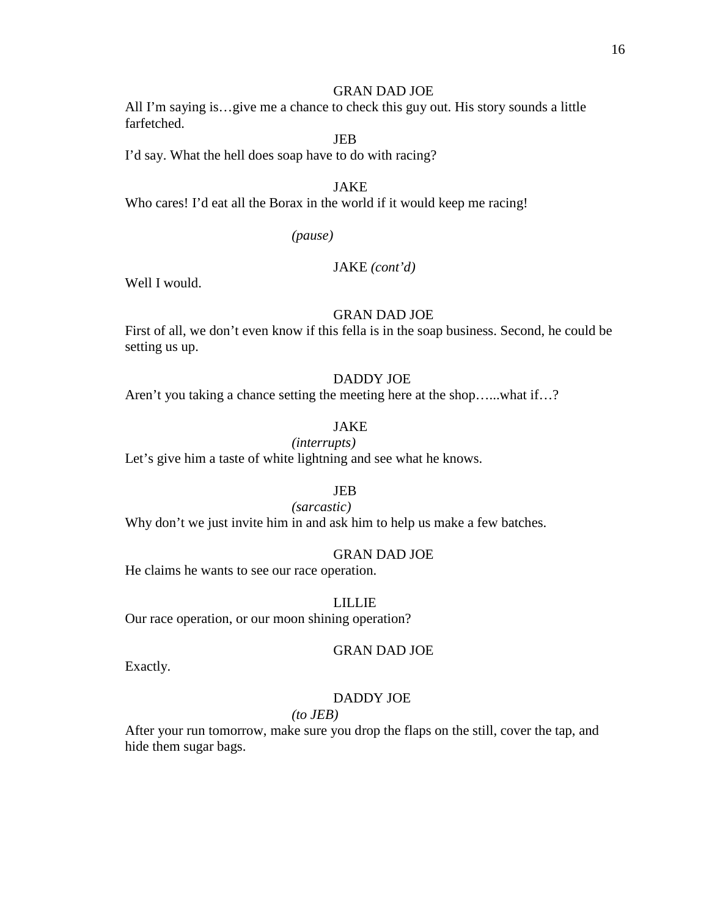All I'm saying is…give me a chance to check this guy out. His story sounds a little farfetched.

JEB

I'd say. What the hell does soap have to do with racing?

JAKE

Who cares! I'd eat all the Borax in the world if it would keep me racing!

*(pause)*

# JAKE *(cont'd)*

Well I would.

#### GRAN DAD JOE

First of all, we don't even know if this fella is in the soap business. Second, he could be setting us up.

# DADDY JOE

Aren't you taking a chance setting the meeting here at the shop…...what if…?

# JAKE

*(interrupts)*

Let's give him a taste of white lightning and see what he knows.

# JEB

## *(sarcastic)*

Why don't we just invite him in and ask him to help us make a few batches.

#### GRAN DAD JOE

He claims he wants to see our race operation.

LILLIE

Our race operation, or our moon shining operation?

GRAN DAD JOE

Exactly.

#### DADDY JOE

#### *(to JEB)*

After your run tomorrow, make sure you drop the flaps on the still, cover the tap, and hide them sugar bags.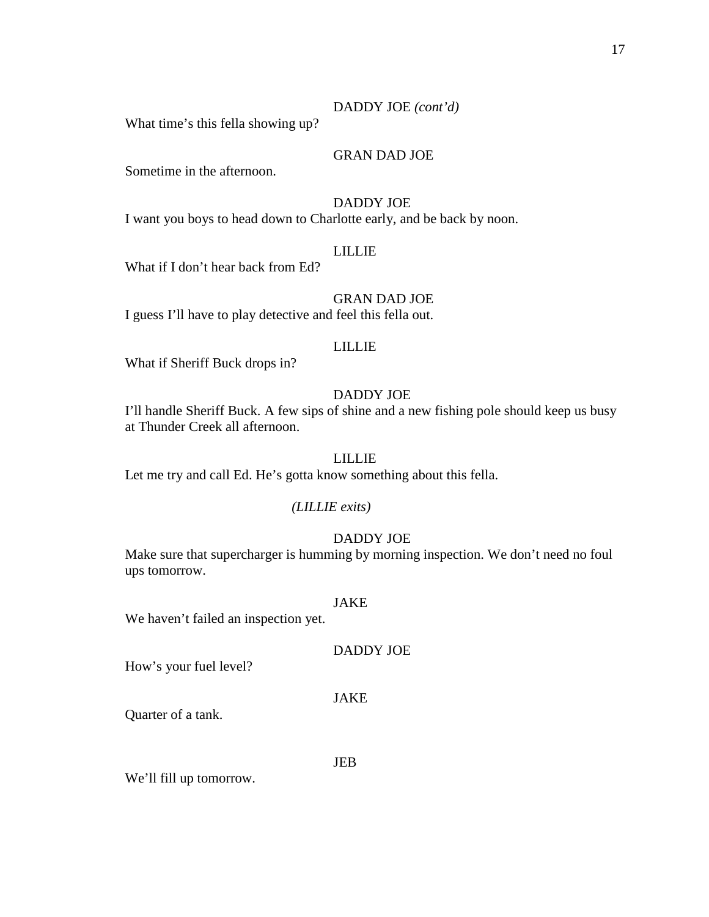# DADDY JOE *(cont'd)*

What time's this fella showing up?

# GRAN DAD JOE

Sometime in the afternoon.

# DADDY JOE

I want you boys to head down to Charlotte early, and be back by noon.

# LILLIE

What if I don't hear back from Ed?

# GRAN DAD JOE

I guess I'll have to play detective and feel this fella out.

# LILLIE

What if Sheriff Buck drops in?

# DADDY JOE

I'll handle Sheriff Buck. A few sips of shine and a new fishing pole should keep us busy at Thunder Creek all afternoon.

#### LILLIE

Let me try and call Ed. He's gotta know something about this fella.

#### *(LILLIE exits)*

#### DADDY JOE

Make sure that supercharger is humming by morning inspection. We don't need no foul ups tomorrow.

#### JAKE

We haven't failed an inspection yet.

| <b>DADDY JOE</b> |  |  |
|------------------|--|--|
|                  |  |  |

How's your fuel level?

#### JAKE

Quarter of a tank.

JEB

We'll fill up tomorrow.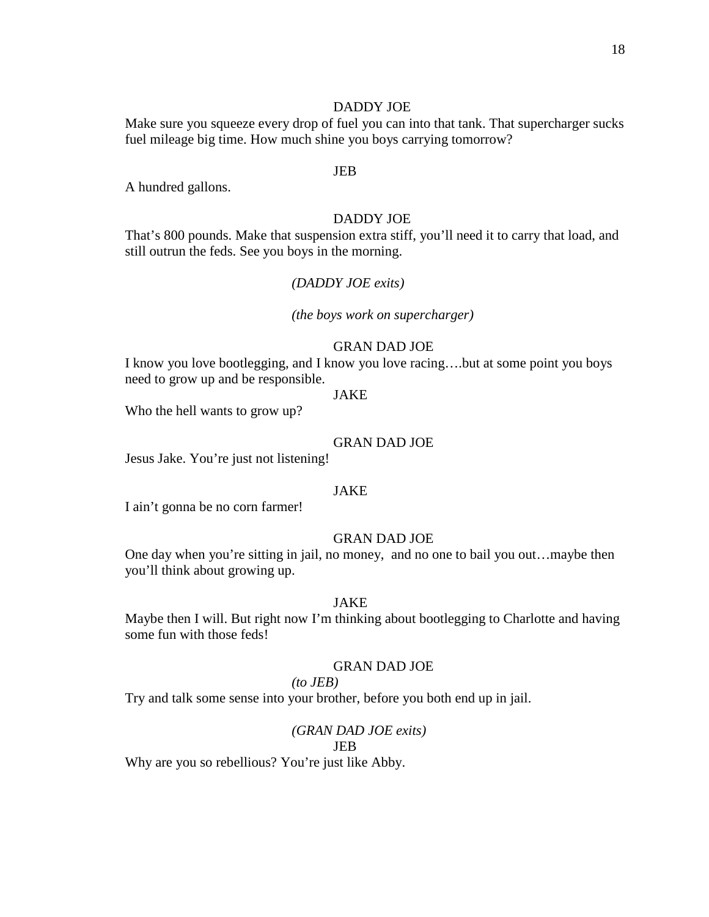#### DADDY JOE

Make sure you squeeze every drop of fuel you can into that tank. That supercharger sucks fuel mileage big time. How much shine you boys carrying tomorrow?

#### JEB

A hundred gallons.

#### DADDY JOE

That's 800 pounds. Make that suspension extra stiff, you'll need it to carry that load, and still outrun the feds. See you boys in the morning.

## *(DADDY JOE exits)*

*(the boys work on supercharger)*

## GRAN DAD JOE

I know you love bootlegging, and I know you love racing….but at some point you boys need to grow up and be responsible.

#### JAKE

Who the hell wants to grow up?

#### GRAN DAD JOE

Jesus Jake. You're just not listening!

## JAKE

I ain't gonna be no corn farmer!

#### GRAN DAD JOE

One day when you're sitting in jail, no money, and no one to bail you out…maybe then you'll think about growing up.

#### JAKE

Maybe then I will. But right now I'm thinking about bootlegging to Charlotte and having some fun with those feds!

#### GRAN DAD JOE

# *(to JEB)*

Try and talk some sense into your brother, before you both end up in jail.

#### *(GRAN DAD JOE exits)*

#### JEB

Why are you so rebellious? You're just like Abby.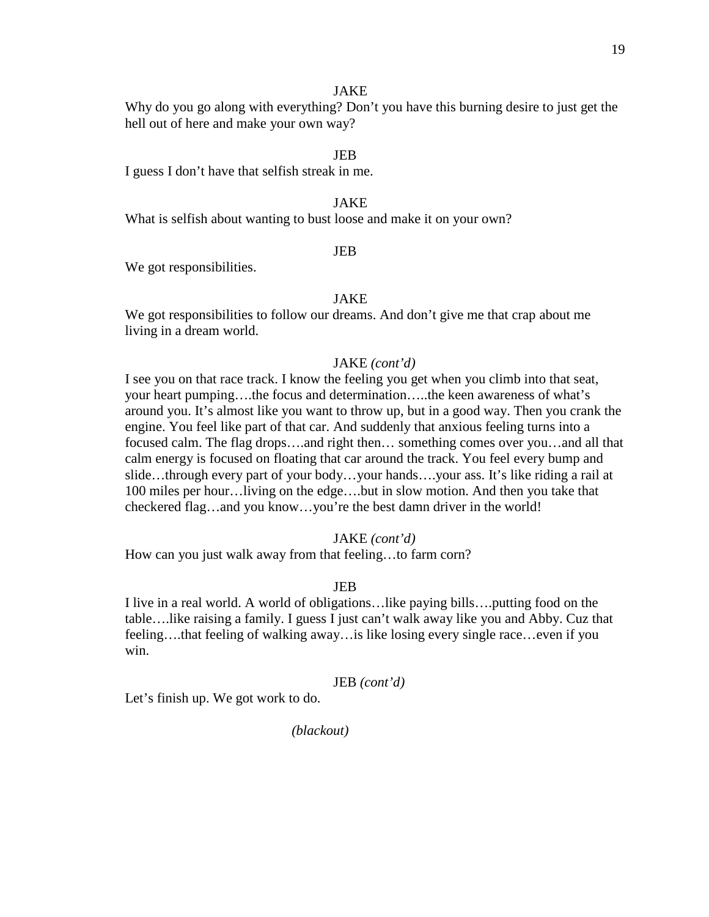#### JAKE

Why do you go along with everything? Don't you have this burning desire to just get the hell out of here and make your own way?

#### JEB

I guess I don't have that selfish streak in me.

# JAKE

What is selfish about wanting to bust loose and make it on your own?

#### JEB

We got responsibilities.

# JAKE

We got responsibilities to follow our dreams. And don't give me that crap about me living in a dream world.

# JAKE *(cont'd)*

I see you on that race track. I know the feeling you get when you climb into that seat, your heart pumping….the focus and determination…..the keen awareness of what's around you. It's almost like you want to throw up, but in a good way. Then you crank the engine. You feel like part of that car. And suddenly that anxious feeling turns into a focused calm. The flag drops….and right then… something comes over you…and all that calm energy is focused on floating that car around the track. You feel every bump and slide…through every part of your body…your hands….your ass. It's like riding a rail at 100 miles per hour…living on the edge….but in slow motion. And then you take that checkered flag…and you know…you're the best damn driver in the world!

#### JAKE *(cont'd)*

How can you just walk away from that feeling…to farm corn?

#### JEB

I live in a real world. A world of obligations…like paying bills….putting food on the table….like raising a family. I guess I just can't walk away like you and Abby. Cuz that feeling….that feeling of walking away…is like losing every single race…even if you win.

#### JEB *(cont'd)*

Let's finish up. We got work to do.

*(blackout)*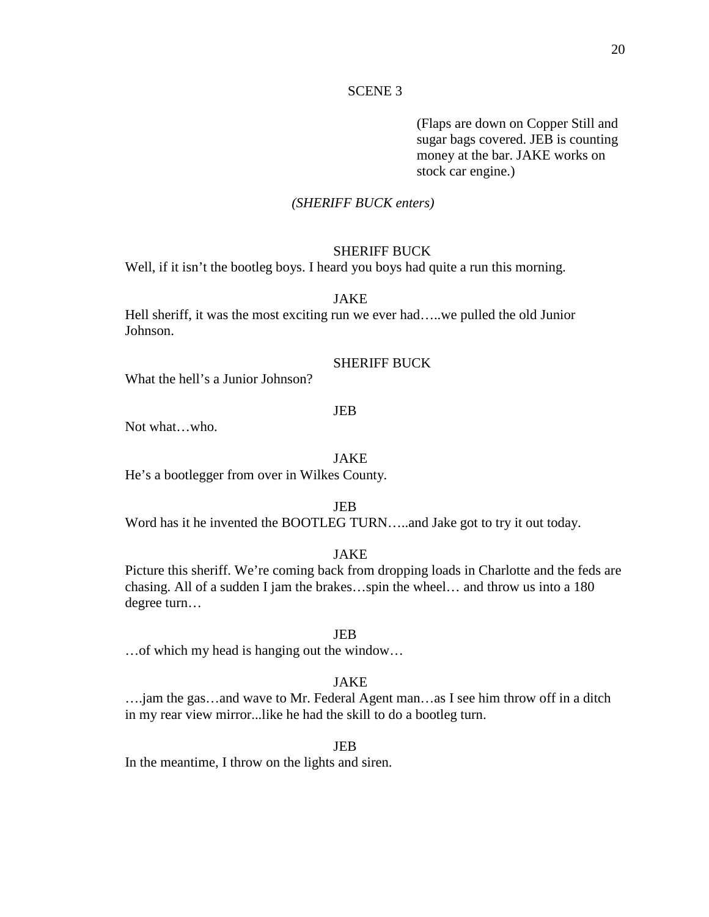#### SCENE 3

(Flaps are down on Copper Still and sugar bags covered. JEB is counting money at the bar. JAKE works on stock car engine.)

# *(SHERIFF BUCK enters)*

#### SHERIFF BUCK

Well, if it isn't the bootleg boys. I heard you boys had quite a run this morning.

# JAKE

Hell sheriff, it was the most exciting run we ever had…..we pulled the old Junior Johnson.

# SHERIFF BUCK

What the hell's a Junior Johnson?

#### JEB

Not what…who.

#### JAKE

He's a bootlegger from over in Wilkes County.

JEB

Word has it he invented the BOOTLEG TURN…..and Jake got to try it out today.

## JAKE

Picture this sheriff. We're coming back from dropping loads in Charlotte and the feds are chasing. All of a sudden I jam the brakes…spin the wheel… and throw us into a 180 degree turn…

#### JEB

…of which my head is hanging out the window…

#### JAKE

….jam the gas…and wave to Mr. Federal Agent man…as I see him throw off in a ditch in my rear view mirror...like he had the skill to do a bootleg turn.

## JEB

In the meantime, I throw on the lights and siren.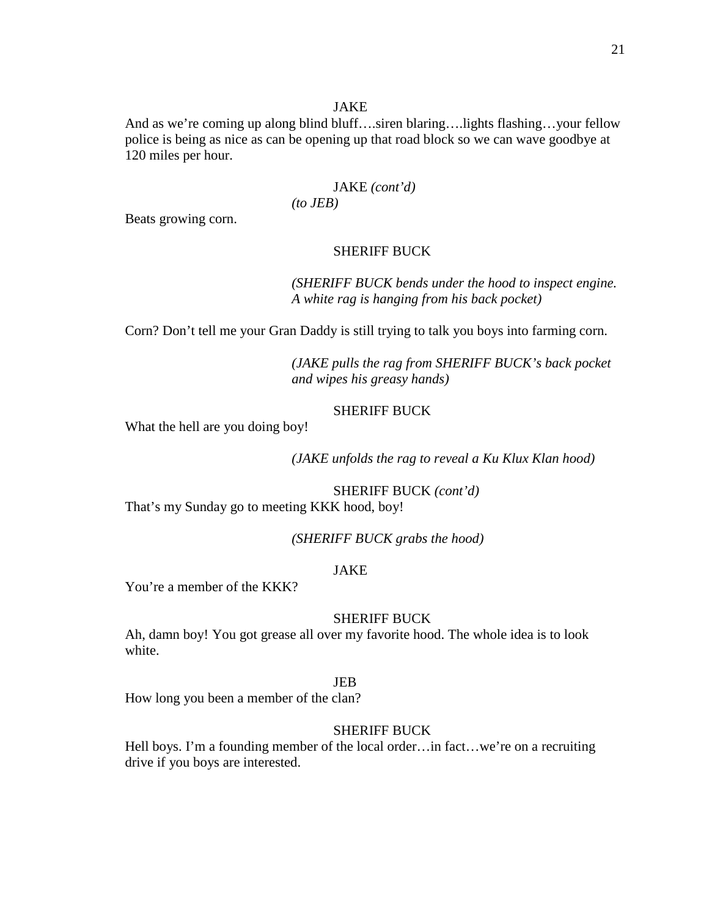#### JAKE

And as we're coming up along blind bluff….siren blaring….lights flashing…your fellow police is being as nice as can be opening up that road block so we can wave goodbye at 120 miles per hour.

#### JAKE *(cont'd) (to JEB)*

Beats growing corn.

# SHERIFF BUCK

*(SHERIFF BUCK bends under the hood to inspect engine. A white rag is hanging from his back pocket)*

Corn? Don't tell me your Gran Daddy is still trying to talk you boys into farming corn.

*(JAKE pulls the rag from SHERIFF BUCK's back pocket and wipes his greasy hands)*

# SHERIFF BUCK

What the hell are you doing boy!

*(JAKE unfolds the rag to reveal a Ku Klux Klan hood)*

SHERIFF BUCK *(cont'd)* That's my Sunday go to meeting KKK hood, boy!

*(SHERIFF BUCK grabs the hood)*

# JAKE

You're a member of the KKK?

## SHERIFF BUCK

Ah, damn boy! You got grease all over my favorite hood. The whole idea is to look white.

#### JEB

How long you been a member of the clan?

#### SHERIFF BUCK

Hell boys. I'm a founding member of the local order...in fact...we're on a recruiting drive if you boys are interested.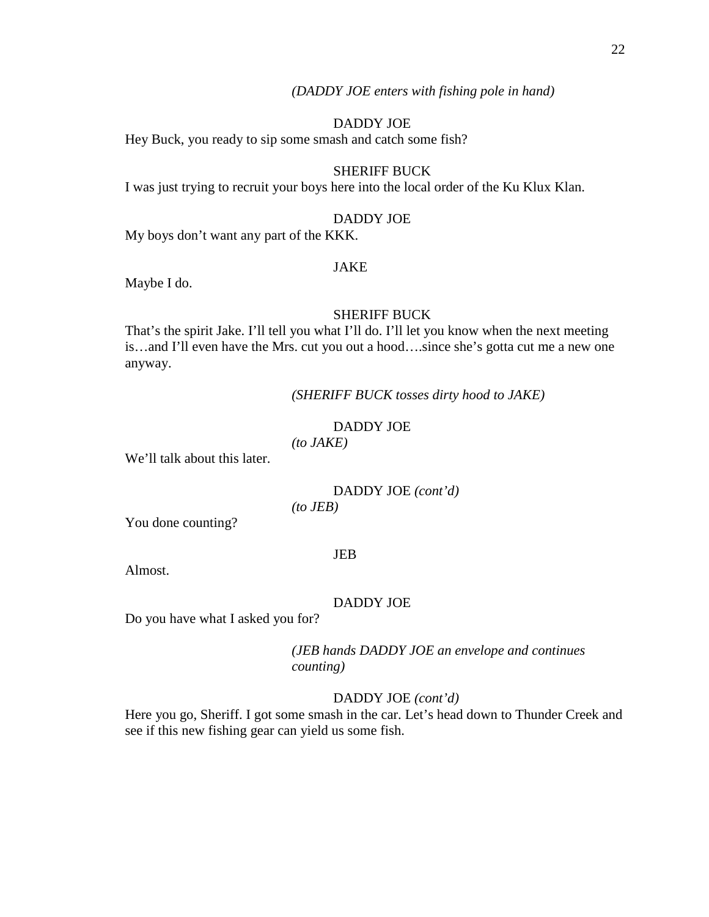*(DADDY JOE enters with fishing pole in hand)*

## DADDY JOE

Hey Buck, you ready to sip some smash and catch some fish?

# SHERIFF BUCK

I was just trying to recruit your boys here into the local order of the Ku Klux Klan.

# DADDY JOE

My boys don't want any part of the KKK.

## JAKE

Maybe I do.

#### SHERIFF BUCK

That's the spirit Jake. I'll tell you what I'll do. I'll let you know when the next meeting is…and I'll even have the Mrs. cut you out a hood….since she's gotta cut me a new one anyway.

*(SHERIFF BUCK tosses dirty hood to JAKE)*

# DADDY JOE

*(to JAKE)*

We'll talk about this later.

# DADDY JOE *(cont'd)*

*(to JEB)*

You done counting?

## JEB

Almost.

#### DADDY JOE

Do you have what I asked you for?

*(JEB hands DADDY JOE an envelope and continues counting)*

#### DADDY JOE *(cont'd)*

Here you go, Sheriff. I got some smash in the car. Let's head down to Thunder Creek and see if this new fishing gear can yield us some fish.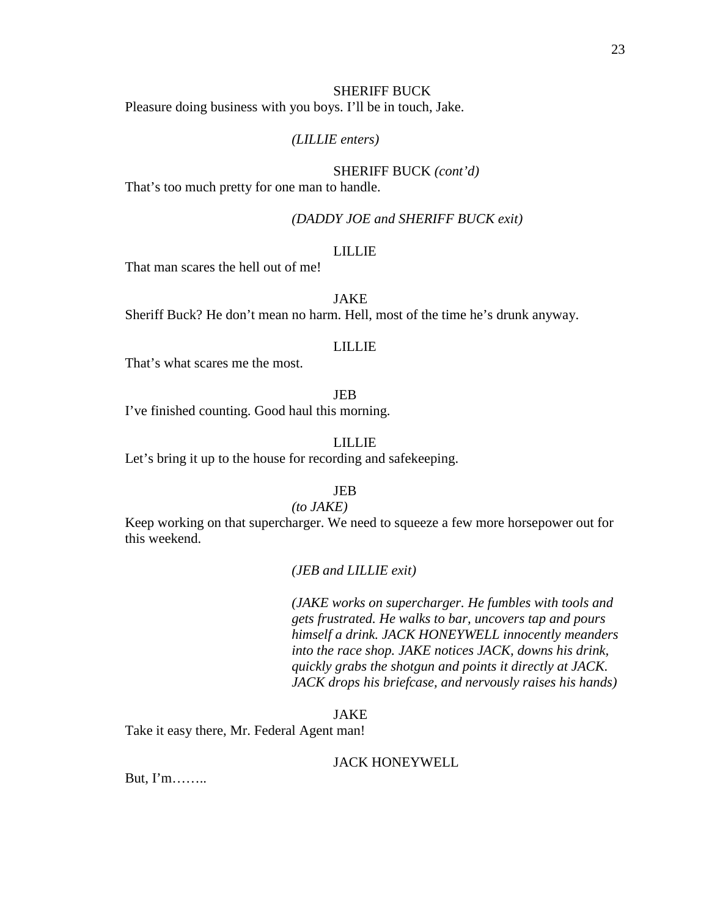#### SHERIFF BUCK

Pleasure doing business with you boys. I'll be in touch, Jake.

## *(LILLIE enters)*

# SHERIFF BUCK *(cont'd)* That's too much pretty for one man to handle.

# *(DADDY JOE and SHERIFF BUCK exit)*

#### LILLIE

That man scares the hell out of me!

# JAKE

Sheriff Buck? He don't mean no harm. Hell, most of the time he's drunk anyway.

#### LILLIE

That's what scares me the most.

#### JEB

I've finished counting. Good haul this morning.

# LILLIE

Let's bring it up to the house for recording and safekeeping.

# JEB

# *(to JAKE)*

Keep working on that supercharger. We need to squeeze a few more horsepower out for this weekend.

#### *(JEB and LILLIE exit)*

*(JAKE works on supercharger. He fumbles with tools and gets frustrated. He walks to bar, uncovers tap and pours himself a drink. JACK HONEYWELL innocently meanders into the race shop. JAKE notices JACK, downs his drink, quickly grabs the shotgun and points it directly at JACK. JACK drops his briefcase, and nervously raises his hands)*

#### JAKE

Take it easy there, Mr. Federal Agent man!

## JACK HONEYWELL

But, I'm……..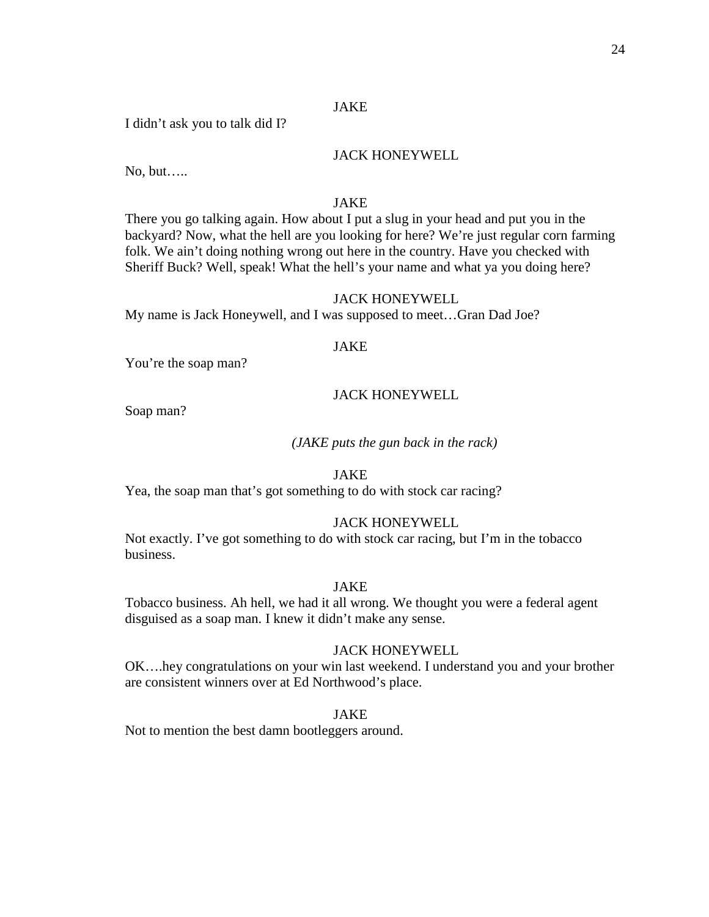# JAKE

I didn't ask you to talk did I?

# JACK HONEYWELL

No, but…..

# JAKE

There you go talking again. How about I put a slug in your head and put you in the backyard? Now, what the hell are you looking for here? We're just regular corn farming folk. We ain't doing nothing wrong out here in the country. Have you checked with Sheriff Buck? Well, speak! What the hell's your name and what ya you doing here?

# JACK HONEYWELL

My name is Jack Honeywell, and I was supposed to meet…Gran Dad Joe?

## JAKE

You're the soap man?

# JACK HONEYWELL

Soap man?

# *(JAKE puts the gun back in the rack)*

# JAKE

Yea, the soap man that's got something to do with stock car racing?

# JACK HONEYWELL

Not exactly. I've got something to do with stock car racing, but I'm in the tobacco business.

# JAKE

Tobacco business. Ah hell, we had it all wrong. We thought you were a federal agent disguised as a soap man. I knew it didn't make any sense.

# JACK HONEYWELL

OK….hey congratulations on your win last weekend. I understand you and your brother are consistent winners over at Ed Northwood's place.

#### JAKE

Not to mention the best damn bootleggers around.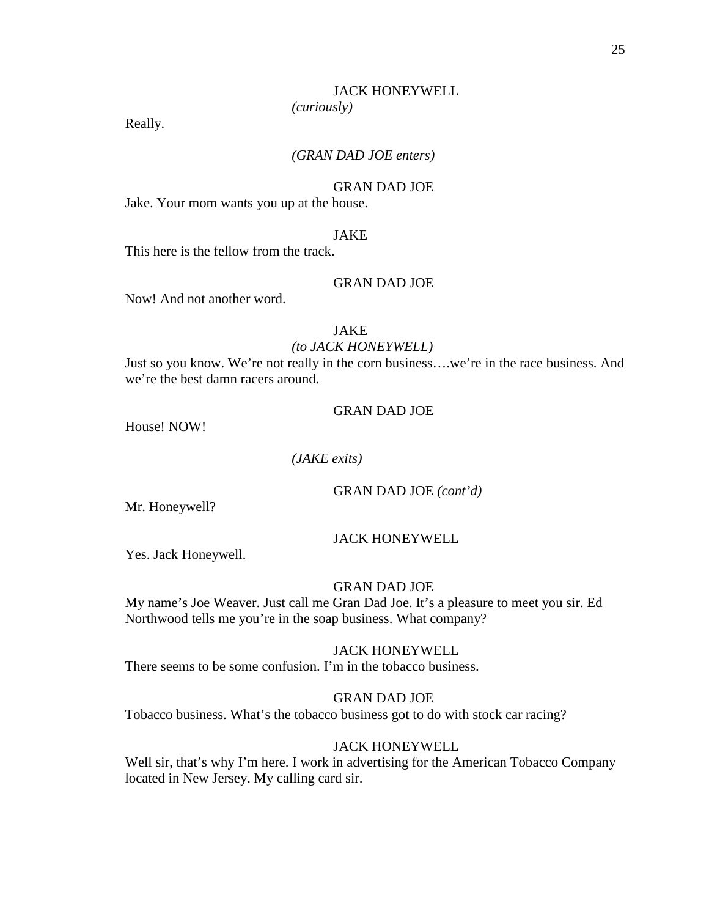## JACK HONEYWELL

*(curiously)*

Really.

# *(GRAN DAD JOE enters)*

#### GRAN DAD JOE

Jake. Your mom wants you up at the house.

#### JAKE

This here is the fellow from the track.

## GRAN DAD JOE

Now! And not another word.

# JAKE

#### *(to JACK HONEYWELL)*

Just so you know. We're not really in the corn business….we're in the race business. And we're the best damn racers around.

#### GRAN DAD JOE

House! NOW!

# *(JAKE exits)*

GRAN DAD JOE *(cont'd)*

Mr. Honeywell?

#### JACK HONEYWELL

Yes. Jack Honeywell.

#### GRAN DAD JOE

My name's Joe Weaver. Just call me Gran Dad Joe. It's a pleasure to meet you sir. Ed Northwood tells me you're in the soap business. What company?

# JACK HONEYWELL

There seems to be some confusion. I'm in the tobacco business.

#### GRAN DAD JOE

Tobacco business. What's the tobacco business got to do with stock car racing?

# JACK HONEYWELL

Well sir, that's why I'm here. I work in advertising for the American Tobacco Company located in New Jersey. My calling card sir.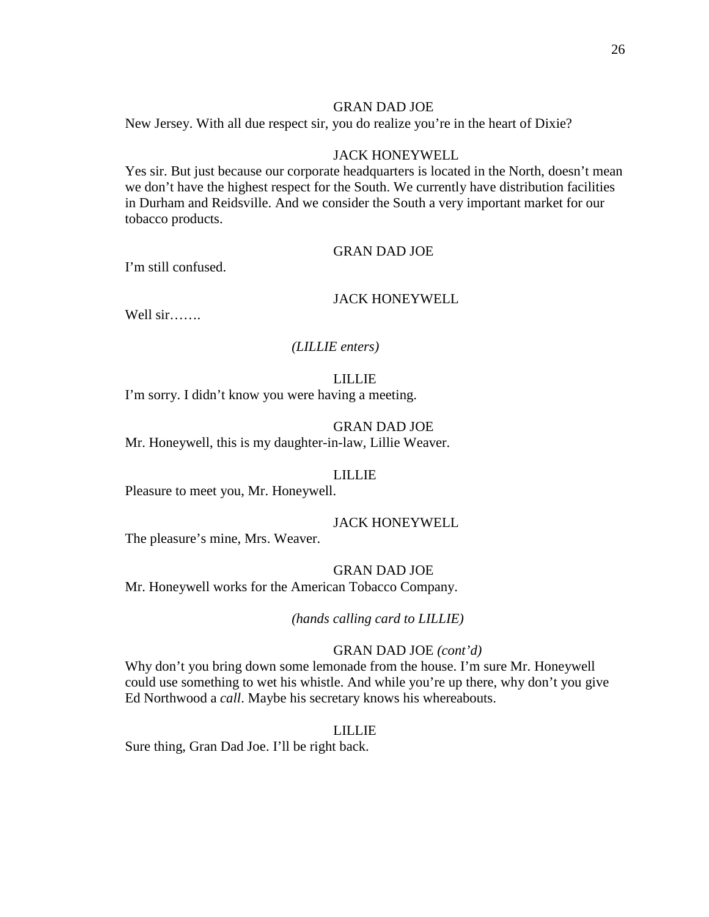New Jersey. With all due respect sir, you do realize you're in the heart of Dixie?

# JACK HONEYWELL

Yes sir. But just because our corporate headquarters is located in the North, doesn't mean we don't have the highest respect for the South. We currently have distribution facilities in Durham and Reidsville. And we consider the South a very important market for our tobacco products.

#### GRAN DAD JOE

I'm still confused.

# JACK HONEYWELL

Well sir…….

#### *(LILLIE enters)*

#### LILLIE

I'm sorry. I didn't know you were having a meeting.

# GRAN DAD JOE

Mr. Honeywell, this is my daughter-in-law, Lillie Weaver.

#### LILLIE

Pleasure to meet you, Mr. Honeywell.

## JACK HONEYWELL

The pleasure's mine, Mrs. Weaver.

#### GRAN DAD JOE

Mr. Honeywell works for the American Tobacco Company.

## *(hands calling card to LILLIE)*

#### GRAN DAD JOE *(cont'd)*

Why don't you bring down some lemonade from the house. I'm sure Mr. Honeywell could use something to wet his whistle. And while you're up there, why don't you give Ed Northwood a *call*. Maybe his secretary knows his whereabouts.

#### LILLIE

Sure thing, Gran Dad Joe. I'll be right back.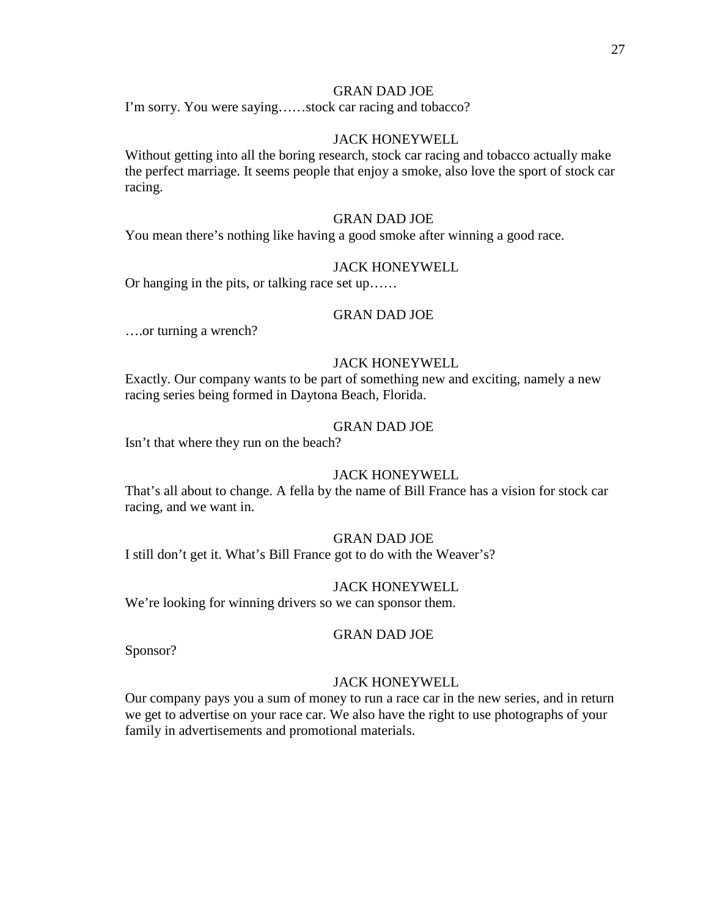I'm sorry. You were saying……stock car racing and tobacco?

# JACK HONEYWELL

Without getting into all the boring research, stock car racing and tobacco actually make the perfect marriage. It seems people that enjoy a smoke, also love the sport of stock car racing.

#### GRAN DAD JOE

You mean there's nothing like having a good smoke after winning a good race.

## JACK HONEYWELL

Or hanging in the pits, or talking race set up……

#### GRAN DAD JOE

….or turning a wrench?

# JACK HONEYWELL

Exactly. Our company wants to be part of something new and exciting, namely a new racing series being formed in Daytona Beach, Florida.

# GRAN DAD JOE

Isn't that where they run on the beach?

## JACK HONEYWELL

That's all about to change. A fella by the name of Bill France has a vision for stock car racing, and we want in.

## GRAN DAD JOE

I still don't get it. What's Bill France got to do with the Weaver's?

#### JACK HONEYWELL

We're looking for winning drivers so we can sponsor them.

#### GRAN DAD JOE

Sponsor?

#### JACK HONEYWELL

Our company pays you a sum of money to run a race car in the new series, and in return we get to advertise on your race car. We also have the right to use photographs of your family in advertisements and promotional materials.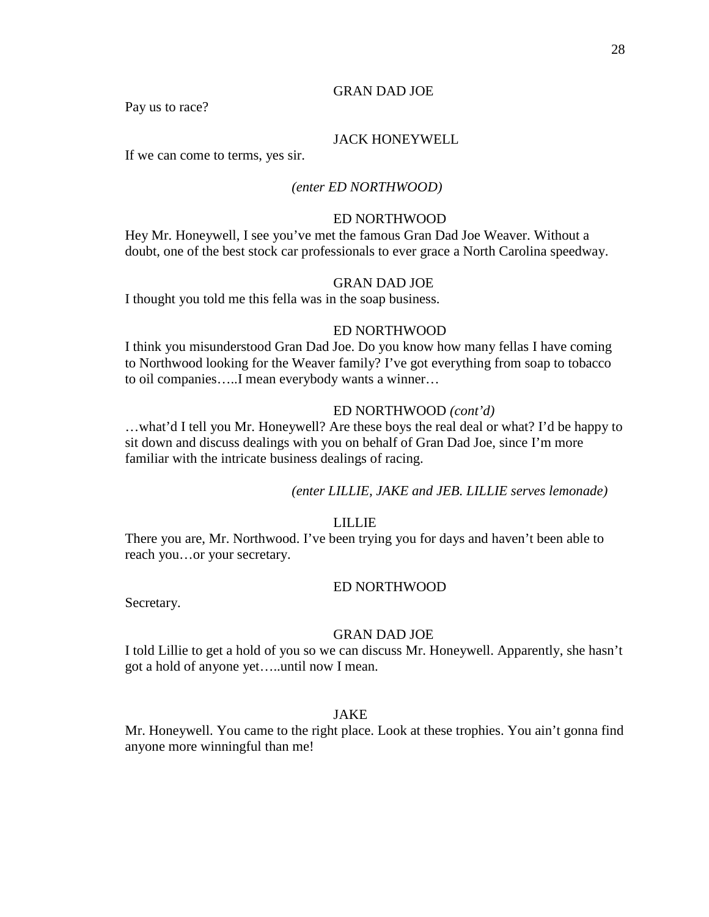Pay us to race?

## JACK HONEYWELL

If we can come to terms, yes sir.

## *(enter ED NORTHWOOD)*

#### ED NORTHWOOD

Hey Mr. Honeywell, I see you've met the famous Gran Dad Joe Weaver. Without a doubt, one of the best stock car professionals to ever grace a North Carolina speedway.

#### GRAN DAD JOE

I thought you told me this fella was in the soap business.

#### ED NORTHWOOD

I think you misunderstood Gran Dad Joe. Do you know how many fellas I have coming to Northwood looking for the Weaver family? I've got everything from soap to tobacco to oil companies…..I mean everybody wants a winner…

#### ED NORTHWOOD *(cont'd)*

…what'd I tell you Mr. Honeywell? Are these boys the real deal or what? I'd be happy to sit down and discuss dealings with you on behalf of Gran Dad Joe, since I'm more familiar with the intricate business dealings of racing.

#### *(enter LILLIE, JAKE and JEB. LILLIE serves lemonade)*

## LILLIE

There you are, Mr. Northwood. I've been trying you for days and haven't been able to reach you…or your secretary.

#### ED NORTHWOOD

Secretary.

#### GRAN DAD JOE

I told Lillie to get a hold of you so we can discuss Mr. Honeywell. Apparently, she hasn't got a hold of anyone yet…..until now I mean.

# JAKE

Mr. Honeywell. You came to the right place. Look at these trophies. You ain't gonna find anyone more winningful than me!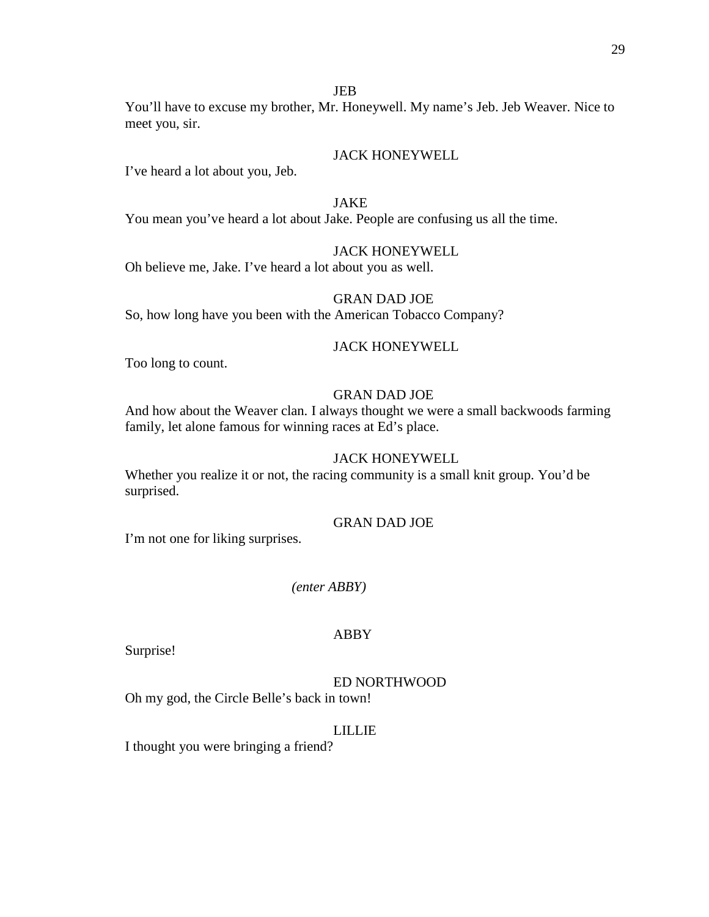# JEB

You'll have to excuse my brother, Mr. Honeywell. My name's Jeb. Jeb Weaver. Nice to meet you, sir.

# JACK HONEYWELL

I've heard a lot about you, Jeb.

# JAKE

You mean you've heard a lot about Jake. People are confusing us all the time.

# JACK HONEYWELL

Oh believe me, Jake. I've heard a lot about you as well.

# GRAN DAD JOE

So, how long have you been with the American Tobacco Company?

#### JACK HONEYWELL

Too long to count.

# GRAN DAD JOE

And how about the Weaver clan. I always thought we were a small backwoods farming family, let alone famous for winning races at Ed's place.

# JACK HONEYWELL

Whether you realize it or not, the racing community is a small knit group. You'd be surprised.

# GRAN DAD JOE

I'm not one for liking surprises.

#### *(enter ABBY)*

## ABBY

Surprise!

#### ED NORTHWOOD

Oh my god, the Circle Belle's back in town!

#### LILLIE

I thought you were bringing a friend?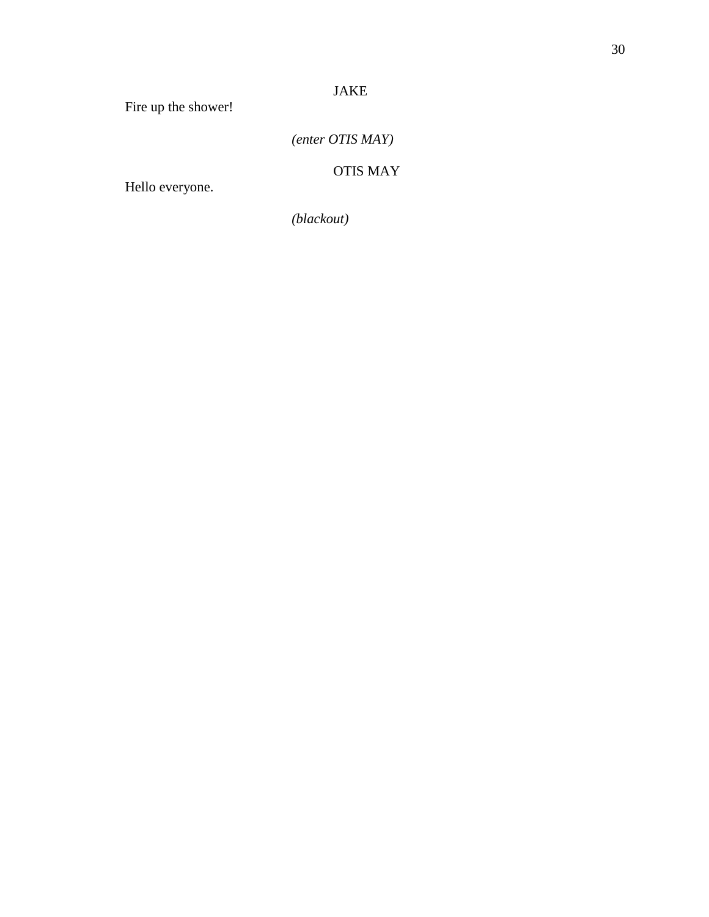# JAKE

Fire up the shower!

*(enter OTIS MAY)*

OTIS MAY

Hello everyone.

*(blackout)*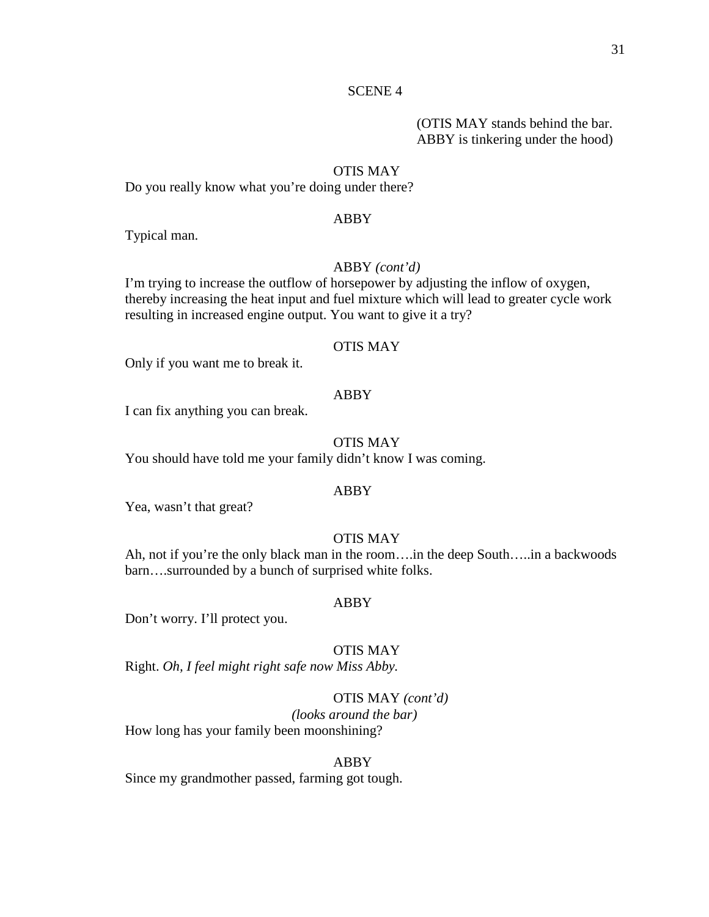# (OTIS MAY stands behind the bar. ABBY is tinkering under the hood)

#### OTIS MAY

Do you really know what you're doing under there?

#### ABBY

Typical man.

# ABBY *(cont'd)*

I'm trying to increase the outflow of horsepower by adjusting the inflow of oxygen, thereby increasing the heat input and fuel mixture which will lead to greater cycle work resulting in increased engine output. You want to give it a try?

#### OTIS MAY

Only if you want me to break it.

#### ABBY

I can fix anything you can break.

# OTIS MAY

You should have told me your family didn't know I was coming.

# ABBY

Yea, wasn't that great?

## OTIS MAY

Ah, not if you're the only black man in the room….in the deep South…..in a backwoods barn….surrounded by a bunch of surprised white folks.

#### ABBY

Don't worry. I'll protect you.

#### OTIS MAY

Right. *Oh, I feel might right safe now Miss Abby.*

#### OTIS MAY *(cont'd)*

*(looks around the bar)* How long has your family been moonshining?

#### ABBY

Since my grandmother passed, farming got tough.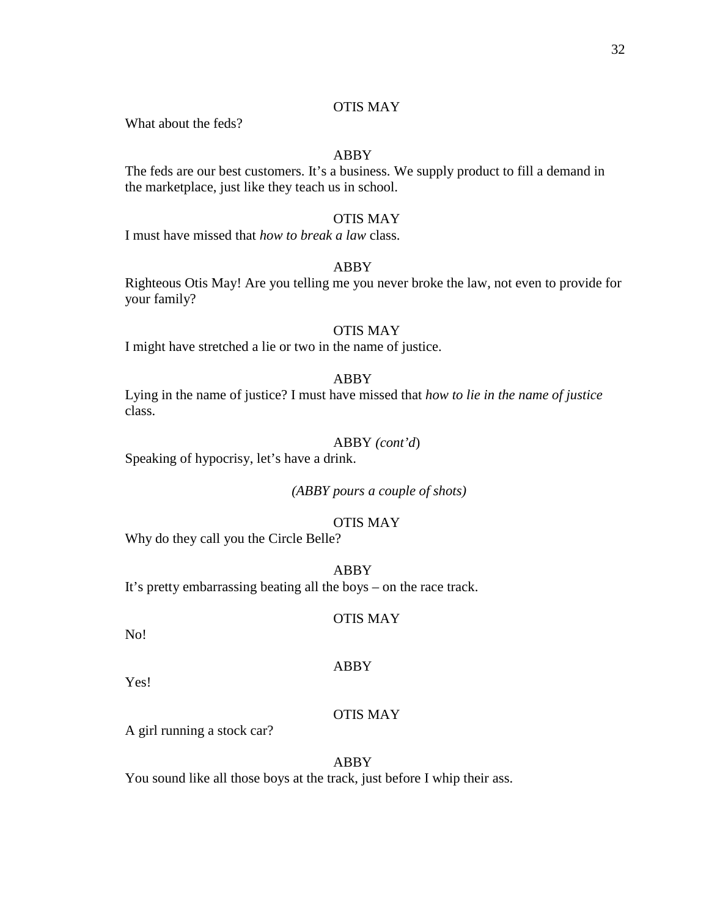# OTIS MAY

What about the feds?

# ABBY

The feds are our best customers. It's a business. We supply product to fill a demand in the marketplace, just like they teach us in school.

# OTIS MAY

I must have missed that *how to break a law* class.

# ABBY

Righteous Otis May! Are you telling me you never broke the law, not even to provide for your family?

#### OTIS MAY

I might have stretched a lie or two in the name of justice.

#### ABBY

Lying in the name of justice? I must have missed that *how to lie in the name of justice* class.

## ABBY *(cont'd*)

Speaking of hypocrisy, let's have a drink.

*(ABBY pours a couple of shots)*

# OTIS MAY

Why do they call you the Circle Belle?

ABBY It's pretty embarrassing beating all the boys – on the race track.

# OTIS MAY

No!

Yes!

# OTIS MAY

A girl running a stock car?

ABBY

ABBY

You sound like all those boys at the track, just before I whip their ass.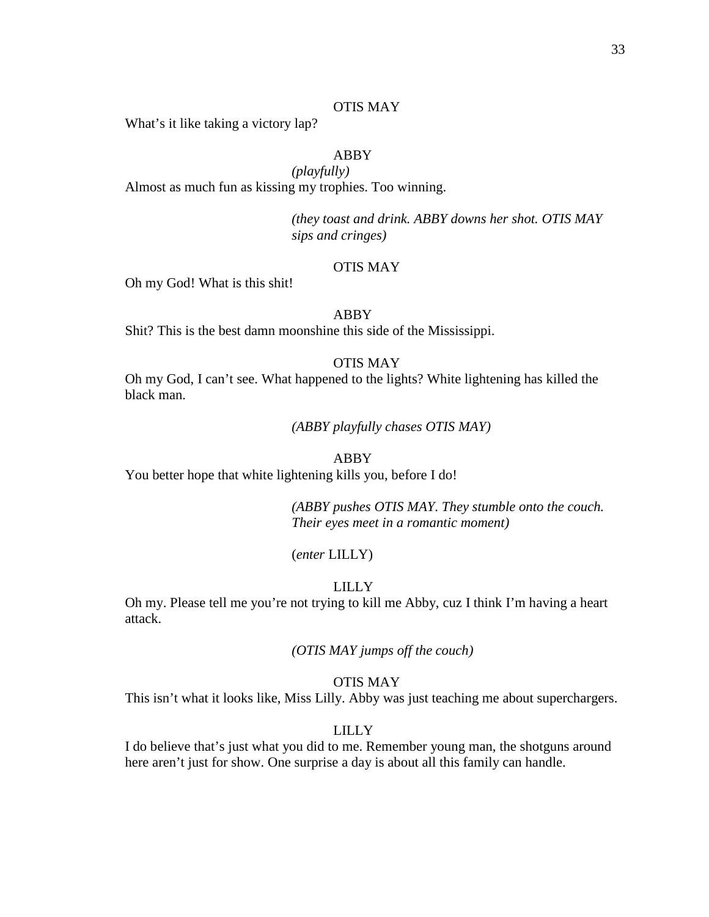#### OTIS MAY

What's it like taking a victory lap?

# ABBY

*(playfully)* Almost as much fun as kissing my trophies. Too winning.

> *(they toast and drink. ABBY downs her shot. OTIS MAY sips and cringes)*

# OTIS MAY

Oh my God! What is this shit!

#### ABBY

Shit? This is the best damn moonshine this side of the Mississippi.

# OTIS MAY

Oh my God, I can't see. What happened to the lights? White lightening has killed the black man.

*(ABBY playfully chases OTIS MAY)*

#### ABBY

You better hope that white lightening kills you, before I do!

*(ABBY pushes OTIS MAY. They stumble onto the couch. Their eyes meet in a romantic moment)*

#### (*enter* LILLY)

#### LILLY

Oh my. Please tell me you're not trying to kill me Abby, cuz I think I'm having a heart attack.

*(OTIS MAY jumps off the couch)*

#### OTIS MAY

This isn't what it looks like, Miss Lilly. Abby was just teaching me about superchargers.

# LILLY

I do believe that's just what you did to me. Remember young man, the shotguns around here aren't just for show. One surprise a day is about all this family can handle.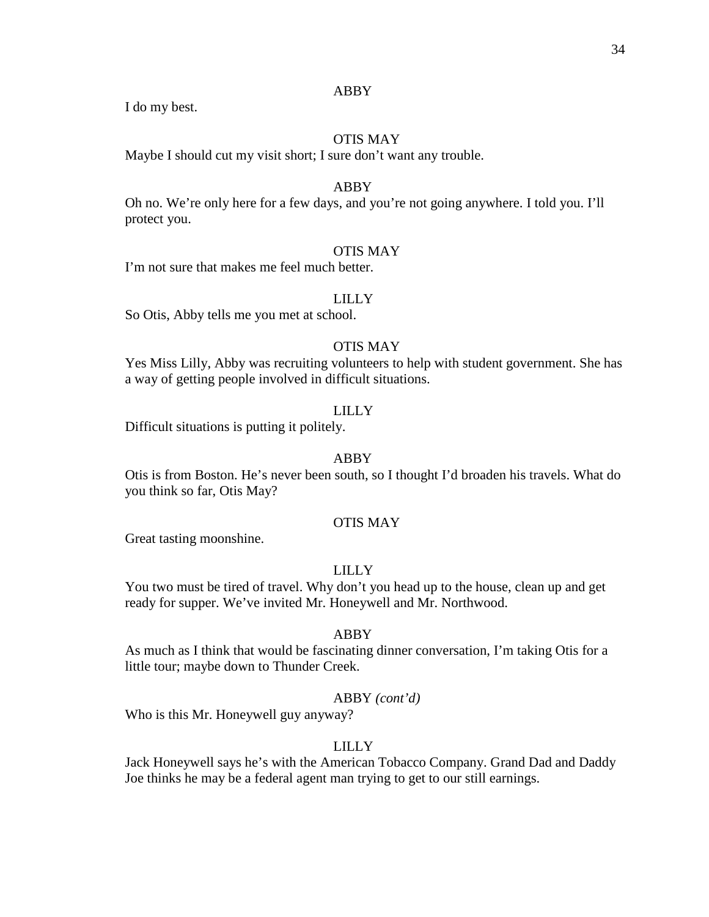I do my best.

# OTIS MAY

Maybe I should cut my visit short; I sure don't want any trouble.

# ABBY

Oh no. We're only here for a few days, and you're not going anywhere. I told you. I'll protect you.

## OTIS MAY

I'm not sure that makes me feel much better.

# LILLY

So Otis, Abby tells me you met at school.

# OTIS MAY

Yes Miss Lilly, Abby was recruiting volunteers to help with student government. She has a way of getting people involved in difficult situations.

#### LILLY

Difficult situations is putting it politely.

#### ABBY

Otis is from Boston. He's never been south, so I thought I'd broaden his travels. What do you think so far, Otis May?

# OTIS MAY

Great tasting moonshine.

#### LILLY

You two must be tired of travel. Why don't you head up to the house, clean up and get ready for supper. We've invited Mr. Honeywell and Mr. Northwood.

## ABBY

As much as I think that would be fascinating dinner conversation, I'm taking Otis for a little tour; maybe down to Thunder Creek.

## ABBY *(cont'd)*

Who is this Mr. Honeywell guy anyway?

# LILLY

Jack Honeywell says he's with the American Tobacco Company. Grand Dad and Daddy Joe thinks he may be a federal agent man trying to get to our still earnings.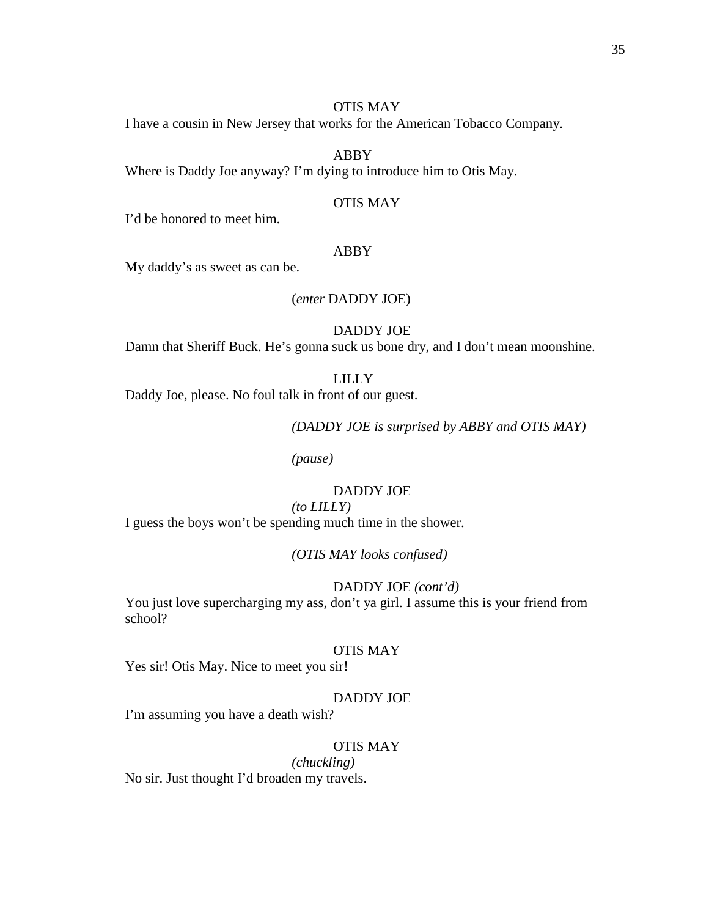#### OTIS MAY

I have a cousin in New Jersey that works for the American Tobacco Company.

# ABBY

Where is Daddy Joe anyway? I'm dying to introduce him to Otis May.

#### OTIS MAY

I'd be honored to meet him.

#### ABBY

My daddy's as sweet as can be.

#### (*enter* DADDY JOE)

DADDY JOE

Damn that Sheriff Buck. He's gonna suck us bone dry, and I don't mean moonshine.

# LILLY

Daddy Joe, please. No foul talk in front of our guest.

*(DADDY JOE is surprised by ABBY and OTIS MAY)*

*(pause)*

# DADDY JOE

# *(to LILLY)*

I guess the boys won't be spending much time in the shower.

*(OTIS MAY looks confused)*

#### DADDY JOE *(cont'd)*

You just love supercharging my ass, don't ya girl. I assume this is your friend from school?

# OTIS MAY

Yes sir! Otis May. Nice to meet you sir!

## DADDY JOE

I'm assuming you have a death wish?

# OTIS MAY

*(chuckling)*

No sir. Just thought I'd broaden my travels.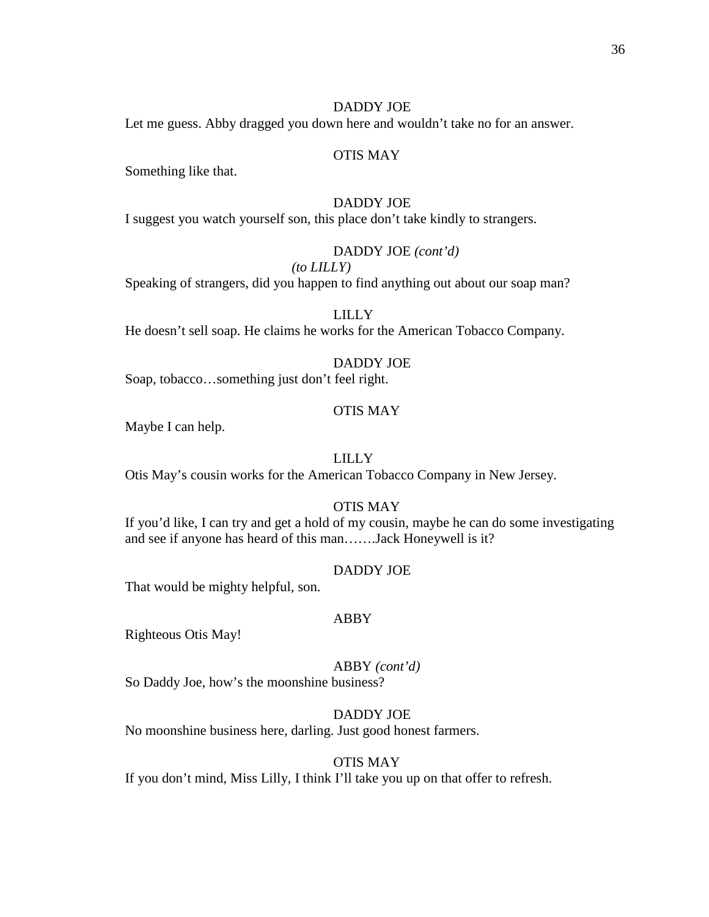#### DADDY JOE

Let me guess. Abby dragged you down here and wouldn't take no for an answer.

# OTIS MAY

Something like that.

#### DADDY JOE

I suggest you watch yourself son, this place don't take kindly to strangers.

# DADDY JOE *(cont'd)*

# *(to LILLY)*

Speaking of strangers, did you happen to find anything out about our soap man?

# LILLY

He doesn't sell soap. He claims he works for the American Tobacco Company.

# DADDY JOE

Soap, tobacco…something just don't feel right.

#### OTIS MAY

Maybe I can help.

# LILLY

Otis May's cousin works for the American Tobacco Company in New Jersey.

#### OTIS MAY

If you'd like, I can try and get a hold of my cousin, maybe he can do some investigating and see if anyone has heard of this man…….Jack Honeywell is it?

#### DADDY JOE

That would be mighty helpful, son.

#### ABBY

Righteous Otis May!

ABBY *(cont'd)* So Daddy Joe, how's the moonshine business?

DADDY JOE No moonshine business here, darling. Just good honest farmers.

#### OTIS MAY

If you don't mind, Miss Lilly, I think I'll take you up on that offer to refresh.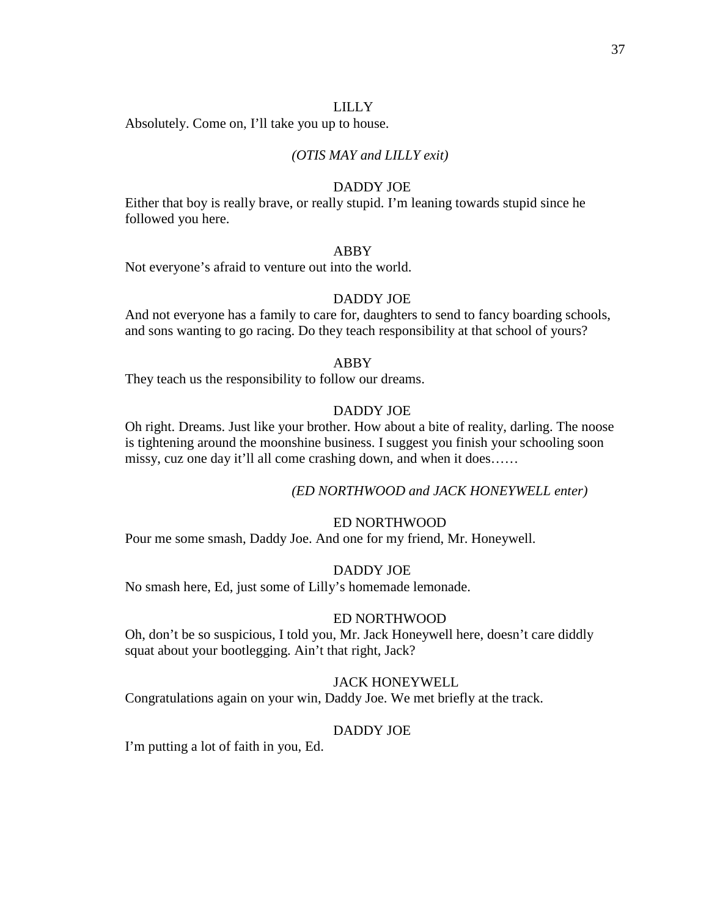## LILLY

Absolutely. Come on, I'll take you up to house.

# *(OTIS MAY and LILLY exit)*

## DADDY JOE

Either that boy is really brave, or really stupid. I'm leaning towards stupid since he followed you here.

# ABBY

Not everyone's afraid to venture out into the world.

# DADDY JOE

And not everyone has a family to care for, daughters to send to fancy boarding schools, and sons wanting to go racing. Do they teach responsibility at that school of yours?

#### ABBY

They teach us the responsibility to follow our dreams.

## DADDY JOE

Oh right. Dreams. Just like your brother. How about a bite of reality, darling. The noose is tightening around the moonshine business. I suggest you finish your schooling soon missy, cuz one day it'll all come crashing down, and when it does……

# *(ED NORTHWOOD and JACK HONEYWELL enter)*

# ED NORTHWOOD

Pour me some smash, Daddy Joe. And one for my friend, Mr. Honeywell.

#### DADDY JOE

No smash here, Ed, just some of Lilly's homemade lemonade.

#### ED NORTHWOOD

Oh, don't be so suspicious, I told you, Mr. Jack Honeywell here, doesn't care diddly squat about your bootlegging. Ain't that right, Jack?

#### JACK HONEYWELL

Congratulations again on your win, Daddy Joe. We met briefly at the track.

#### DADDY JOE

I'm putting a lot of faith in you, Ed.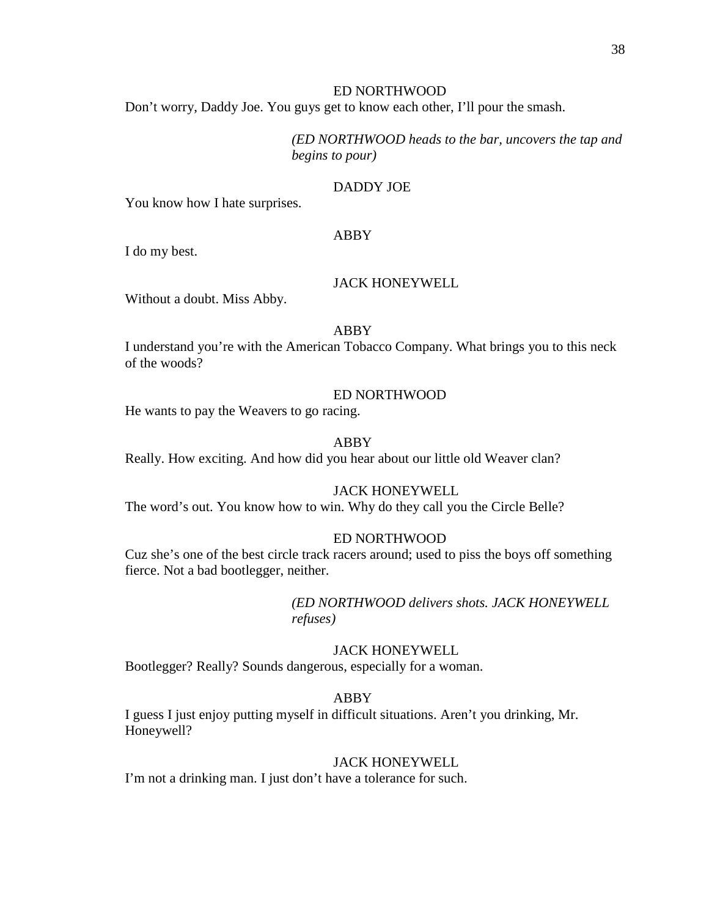# ED NORTHWOOD

Don't worry, Daddy Joe. You guys get to know each other, I'll pour the smash.

*(ED NORTHWOOD heads to the bar, uncovers the tap and begins to pour)*

#### DADDY JOE

You know how I hate surprises.

#### ABBY

I do my best.

#### JACK HONEYWELL

Without a doubt. Miss Abby.

## ABBY

I understand you're with the American Tobacco Company. What brings you to this neck of the woods?

#### ED NORTHWOOD

He wants to pay the Weavers to go racing.

# ABBY

Really. How exciting. And how did you hear about our little old Weaver clan?

# JACK HONEYWELL

The word's out. You know how to win. Why do they call you the Circle Belle?

#### ED NORTHWOOD

Cuz she's one of the best circle track racers around; used to piss the boys off something fierce. Not a bad bootlegger, neither.

> *(ED NORTHWOOD delivers shots. JACK HONEYWELL refuses)*

# JACK HONEYWELL

Bootlegger? Really? Sounds dangerous, especially for a woman.

#### ABBY

I guess I just enjoy putting myself in difficult situations. Aren't you drinking, Mr. Honeywell?

#### JACK HONEYWELL

I'm not a drinking man. I just don't have a tolerance for such.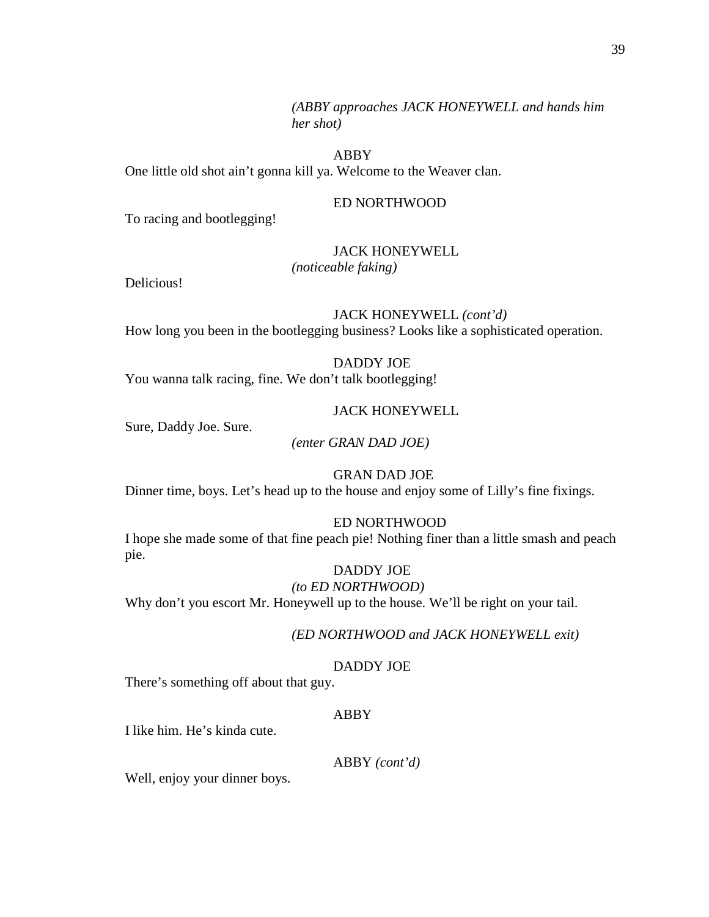*(ABBY approaches JACK HONEYWELL and hands him her shot)*

# ABBY

One little old shot ain't gonna kill ya. Welcome to the Weaver clan.

## ED NORTHWOOD

To racing and bootlegging!

#### JACK HONEYWELL

*(noticeable faking)*

Delicious!

JACK HONEYWELL *(cont'd)* How long you been in the bootlegging business? Looks like a sophisticated operation.

## DADDY JOE

You wanna talk racing, fine. We don't talk bootlegging!

#### JACK HONEYWELL

Sure, Daddy Joe. Sure.

*(enter GRAN DAD JOE)*

#### GRAN DAD JOE

Dinner time, boys. Let's head up to the house and enjoy some of Lilly's fine fixings.

## ED NORTHWOOD

I hope she made some of that fine peach pie! Nothing finer than a little smash and peach pie.

DADDY JOE *(to ED NORTHWOOD)* Why don't you escort Mr. Honeywell up to the house. We'll be right on your tail.

## *(ED NORTHWOOD and JACK HONEYWELL exit)*

#### DADDY JOE

There's something off about that guy.

# ABBY

I like him. He's kinda cute.

ABBY *(cont'd)*

Well, enjoy your dinner boys.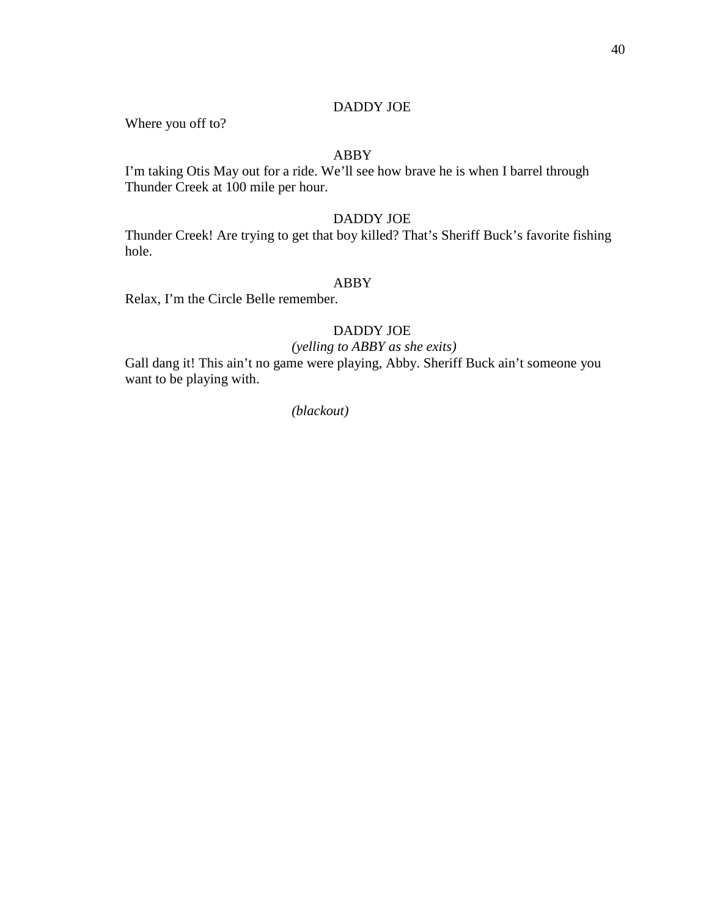#### DADDY JOE

Where you off to?

# ABBY

I'm taking Otis May out for a ride. We'll see how brave he is when I barrel through Thunder Creek at 100 mile per hour.

# DADDY JOE

Thunder Creek! Are trying to get that boy killed? That's Sheriff Buck's favorite fishing hole.

#### ABBY

Relax, I'm the Circle Belle remember.

# DADDY JOE

# *(yelling to ABBY as she exits)*

Gall dang it! This ain't no game were playing, Abby. Sheriff Buck ain't someone you want to be playing with.

*(blackout)*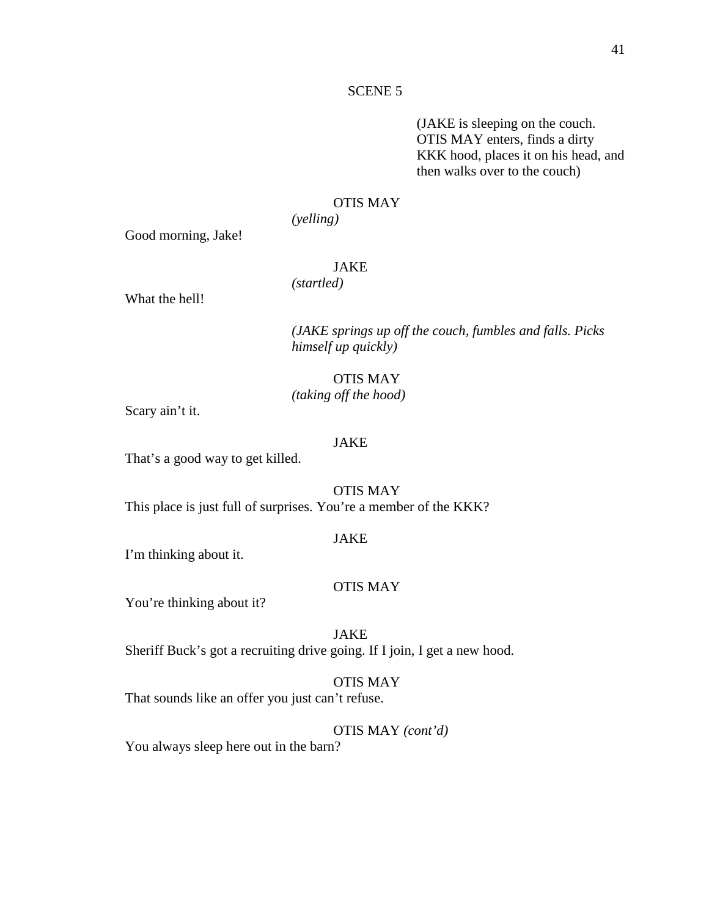#### SCENE 5

(JAKE is sleeping on the couch. OTIS MAY enters, finds a dirty KKK hood, places it on his head, and then walks over to the couch)

## OTIS MAY

*(yelling)*

Good morning, Jake!

# JAKE

*(startled)*

What the hell!

*(JAKE springs up off the couch, fumbles and falls. Picks himself up quickly)*

# OTIS MAY *(taking off the hood)*

Scary ain't it.

#### JAKE

That's a good way to get killed.

OTIS MAY This place is just full of surprises. You're a member of the KKK?

#### JAKE

I'm thinking about it.

# OTIS MAY

You're thinking about it?

JAKE

Sheriff Buck's got a recruiting drive going. If I join, I get a new hood.

## OTIS MAY

That sounds like an offer you just can't refuse.

OTIS MAY *(cont'd)*

You always sleep here out in the barn?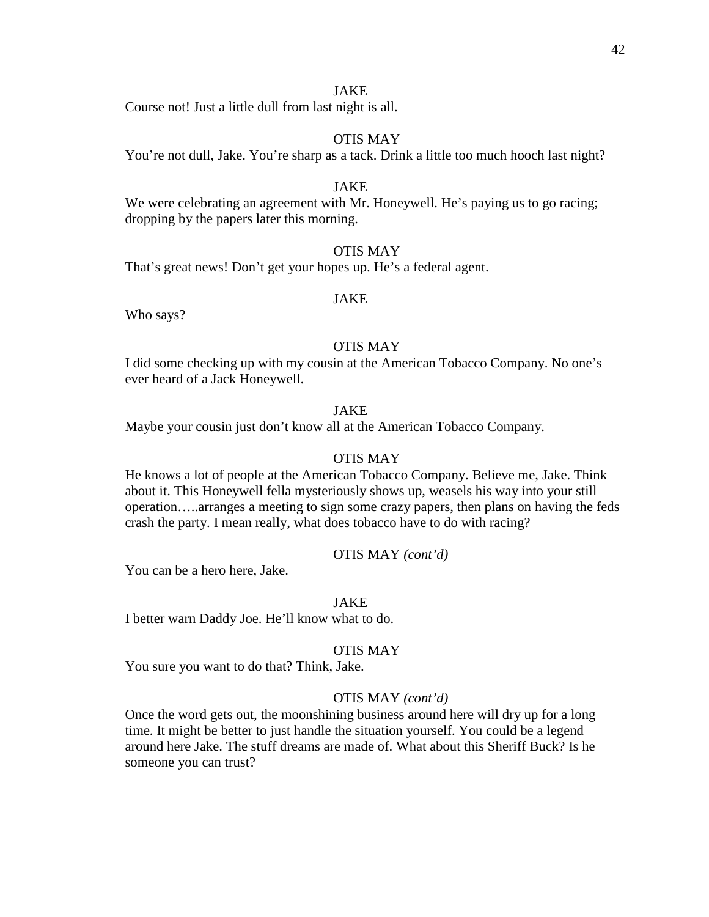# JAKE

Course not! Just a little dull from last night is all.

# OTIS MAY

You're not dull, Jake. You're sharp as a tack. Drink a little too much hooch last night?

# JAKE

We were celebrating an agreement with Mr. Honeywell. He's paying us to go racing; dropping by the papers later this morning.

# OTIS MAY

That's great news! Don't get your hopes up. He's a federal agent.

# JAKE

Who says?

# OTIS MAY

I did some checking up with my cousin at the American Tobacco Company. No one's ever heard of a Jack Honeywell.

# JAKE

Maybe your cousin just don't know all at the American Tobacco Company.

# OTIS MAY

He knows a lot of people at the American Tobacco Company. Believe me, Jake. Think about it. This Honeywell fella mysteriously shows up, weasels his way into your still operation…..arranges a meeting to sign some crazy papers, then plans on having the feds crash the party. I mean really, what does tobacco have to do with racing?

## OTIS MAY *(cont'd)*

You can be a hero here, Jake.

#### JAKE

I better warn Daddy Joe. He'll know what to do.

# OTIS MAY

You sure you want to do that? Think, Jake.

#### OTIS MAY *(cont'd)*

Once the word gets out, the moonshining business around here will dry up for a long time. It might be better to just handle the situation yourself. You could be a legend around here Jake. The stuff dreams are made of. What about this Sheriff Buck? Is he someone you can trust?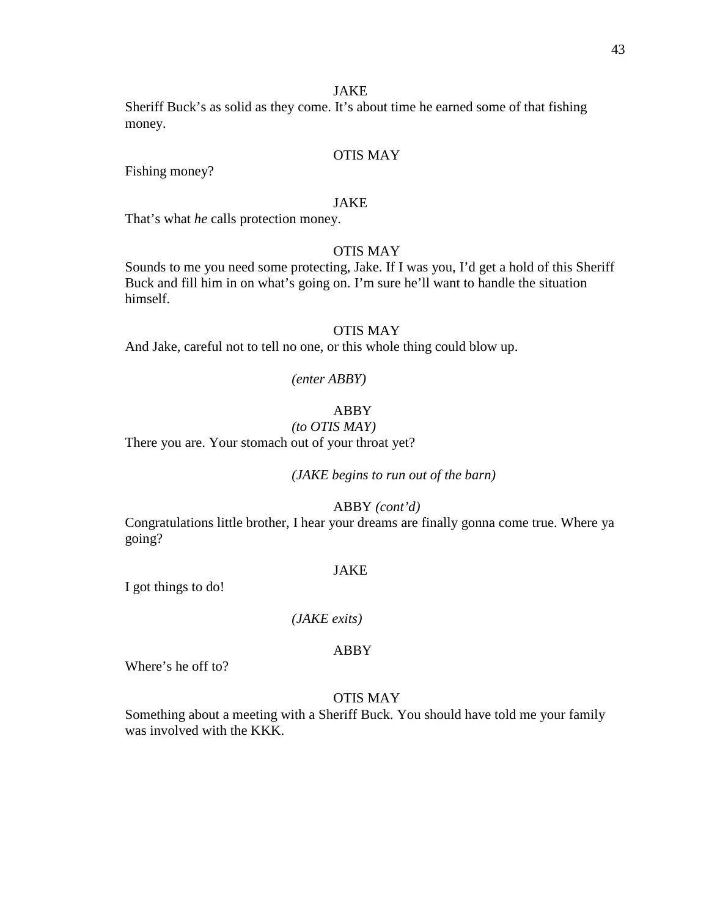# JAKE

Sheriff Buck's as solid as they come. It's about time he earned some of that fishing money.

# OTIS MAY

Fishing money?

#### JAKE

That's what *he* calls protection money.

# OTIS MAY

Sounds to me you need some protecting, Jake. If I was you, I'd get a hold of this Sheriff Buck and fill him in on what's going on. I'm sure he'll want to handle the situation himself.

#### OTIS MAY

And Jake, careful not to tell no one, or this whole thing could blow up.

#### *(enter ABBY)*

#### ABBY

# *(to OTIS MAY)*

There you are. Your stomach out of your throat yet?

*(JAKE begins to run out of the barn)*

ABBY *(cont'd)*

Congratulations little brother, I hear your dreams are finally gonna come true. Where ya going?

#### JAKE

I got things to do!

#### *(JAKE exits)*

## ABBY

Where's he off to?

#### OTIS MAY

Something about a meeting with a Sheriff Buck. You should have told me your family was involved with the KKK.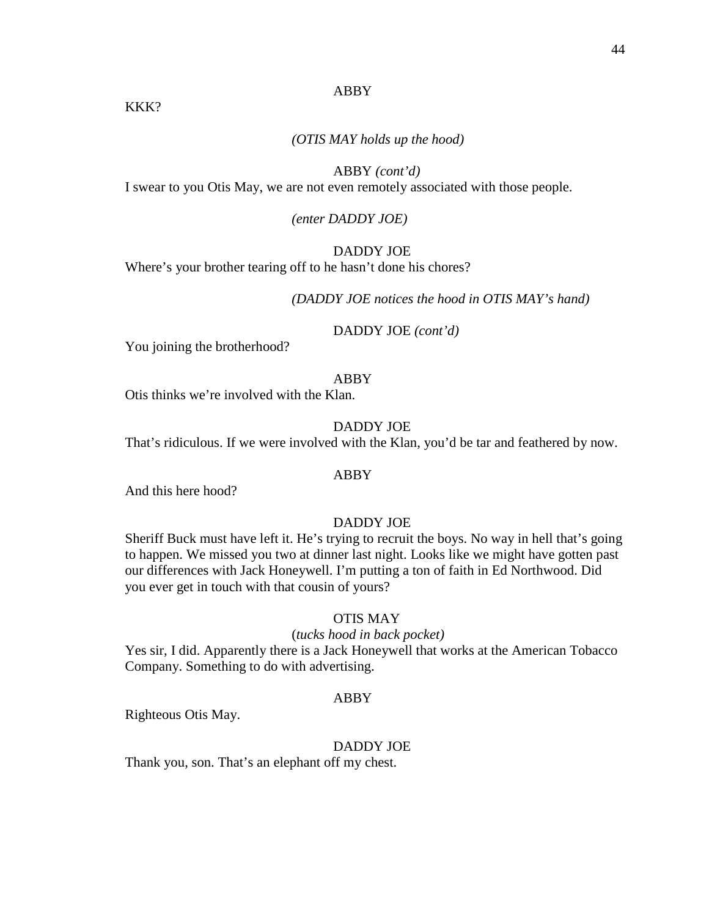# *(OTIS MAY holds up the hood)*

# ABBY *(cont'd)*

I swear to you Otis May, we are not even remotely associated with those people.

# *(enter DADDY JOE)*

# DADDY JOE

Where's your brother tearing off to he hasn't done his chores?

*(DADDY JOE notices the hood in OTIS MAY's hand)*

DADDY JOE *(cont'd)*

You joining the brotherhood?

KKK?

## ABBY

Otis thinks we're involved with the Klan.

DADDY JOE

That's ridiculous. If we were involved with the Klan, you'd be tar and feathered by now.

## ABBY

And this here hood?

# DADDY JOE

Sheriff Buck must have left it. He's trying to recruit the boys. No way in hell that's going to happen. We missed you two at dinner last night. Looks like we might have gotten past our differences with Jack Honeywell. I'm putting a ton of faith in Ed Northwood. Did you ever get in touch with that cousin of yours?

## OTIS MAY

## (*tucks hood in back pocket)*

Yes sir, I did. Apparently there is a Jack Honeywell that works at the American Tobacco Company. Something to do with advertising.

## ABBY

Righteous Otis May.

# DADDY JOE

Thank you, son. That's an elephant off my chest.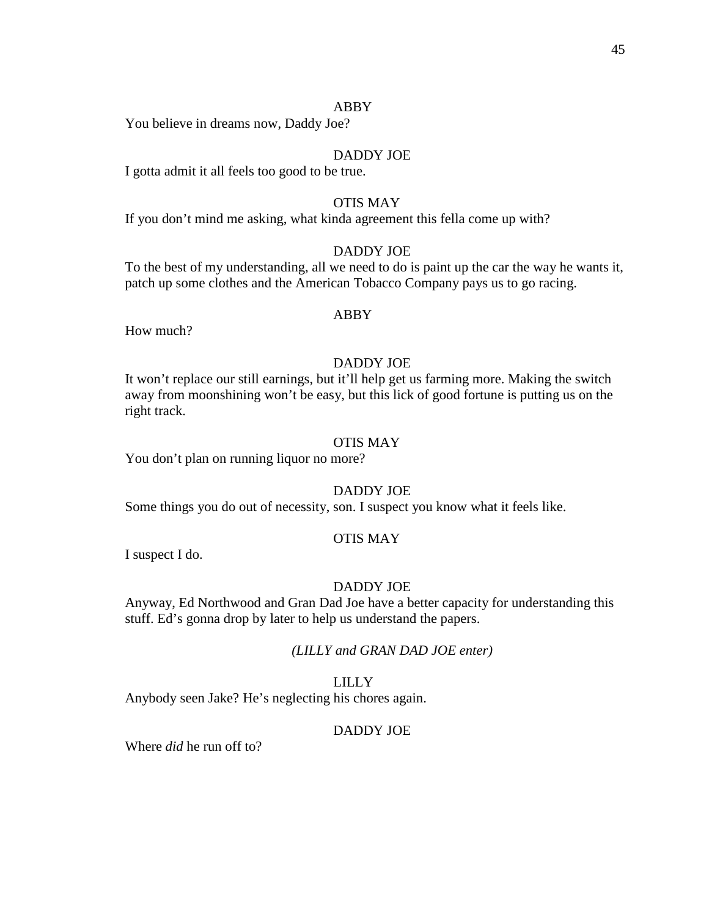You believe in dreams now, Daddy Joe?

#### DADDY JOE

I gotta admit it all feels too good to be true.

## OTIS MAY

If you don't mind me asking, what kinda agreement this fella come up with?

# DADDY JOE

To the best of my understanding, all we need to do is paint up the car the way he wants it, patch up some clothes and the American Tobacco Company pays us to go racing.

#### ABBY

How much?

# DADDY JOE

It won't replace our still earnings, but it'll help get us farming more. Making the switch away from moonshining won't be easy, but this lick of good fortune is putting us on the right track.

# OTIS MAY

You don't plan on running liquor no more?

# DADDY JOE

Some things you do out of necessity, son. I suspect you know what it feels like.

#### OTIS MAY

I suspect I do.

# DADDY JOE

Anyway, Ed Northwood and Gran Dad Joe have a better capacity for understanding this stuff. Ed's gonna drop by later to help us understand the papers.

*(LILLY and GRAN DAD JOE enter)*

## LILLY

Anybody seen Jake? He's neglecting his chores again.

#### DADDY JOE

Where *did* he run off to?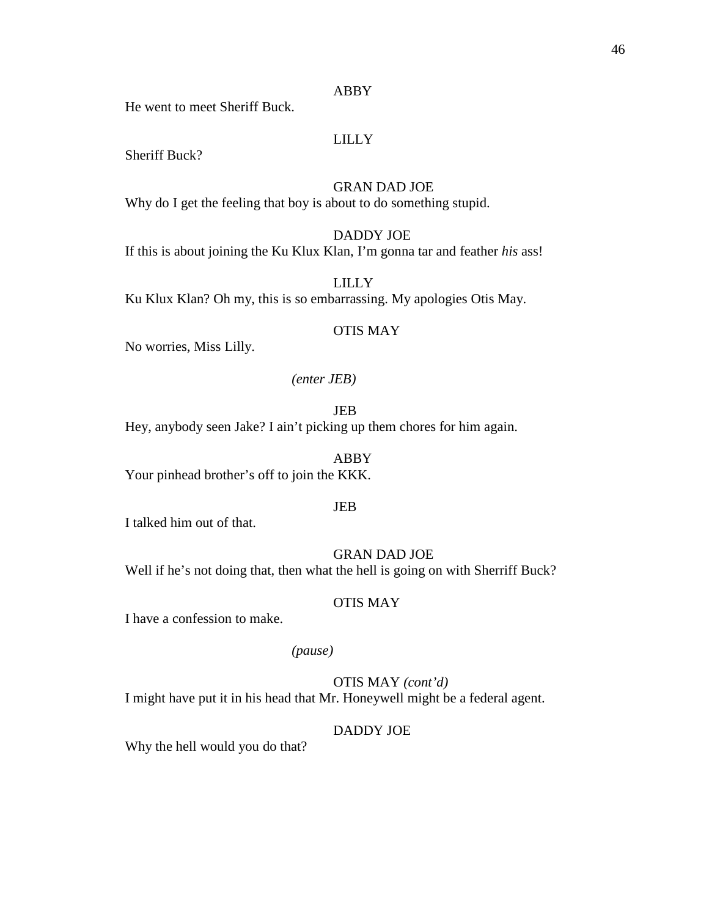He went to meet Sheriff Buck.

# LILLY

Sheriff Buck?

GRAN DAD JOE

Why do I get the feeling that boy is about to do something stupid.

DADDY JOE If this is about joining the Ku Klux Klan, I'm gonna tar and feather *his* ass!

LILLY Ku Klux Klan? Oh my, this is so embarrassing. My apologies Otis May.

#### OTIS MAY

No worries, Miss Lilly.

#### *(enter JEB)*

JEB

Hey, anybody seen Jake? I ain't picking up them chores for him again.

ABBY Your pinhead brother's off to join the KKK.

#### JEB

I talked him out of that.

# GRAN DAD JOE

Well if he's not doing that, then what the hell is going on with Sherriff Buck?

#### OTIS MAY

I have a confession to make.

# *(pause)*

OTIS MAY *(cont'd)*

I might have put it in his head that Mr. Honeywell might be a federal agent.

# DADDY JOE

Why the hell would you do that?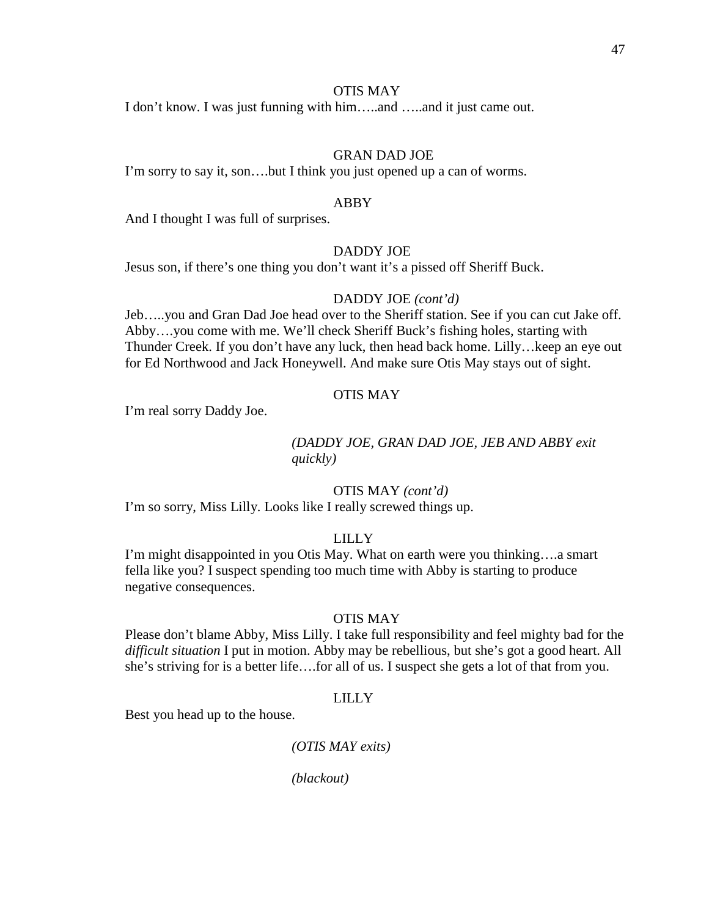## OTIS MAY

I don't know. I was just funning with him…..and …..and it just came out.

# GRAN DAD JOE

I'm sorry to say it, son….but I think you just opened up a can of worms.

#### ABBY

And I thought I was full of surprises.

#### DADDY JOE

Jesus son, if there's one thing you don't want it's a pissed off Sheriff Buck.

#### DADDY JOE *(cont'd)*

Jeb…..you and Gran Dad Joe head over to the Sheriff station. See if you can cut Jake off. Abby….you come with me. We'll check Sheriff Buck's fishing holes, starting with Thunder Creek. If you don't have any luck, then head back home. Lilly…keep an eye out for Ed Northwood and Jack Honeywell. And make sure Otis May stays out of sight.

#### OTIS MAY

I'm real sorry Daddy Joe.

# *(DADDY JOE, GRAN DAD JOE, JEB AND ABBY exit quickly)*

## OTIS MAY *(cont'd)*

I'm so sorry, Miss Lilly. Looks like I really screwed things up.

## LILLY

I'm might disappointed in you Otis May. What on earth were you thinking….a smart fella like you? I suspect spending too much time with Abby is starting to produce negative consequences.

## OTIS MAY

Please don't blame Abby, Miss Lilly. I take full responsibility and feel mighty bad for the *difficult situation* I put in motion. Abby may be rebellious, but she's got a good heart. All she's striving for is a better life….for all of us. I suspect she gets a lot of that from you.

#### LILLY

Best you head up to the house.

## *(OTIS MAY exits)*

*(blackout)*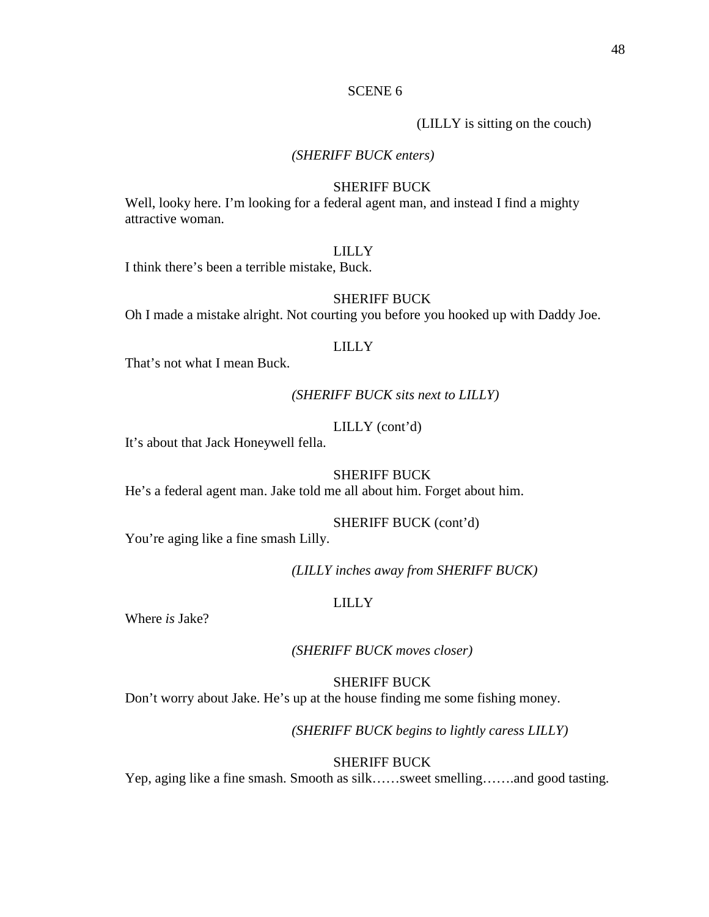## SCENE 6

(LILLY is sitting on the couch)

# *(SHERIFF BUCK enters)*

#### SHERIFF BUCK

Well, looky here. I'm looking for a federal agent man, and instead I find a mighty attractive woman.

#### LILLY

I think there's been a terrible mistake, Buck.

# SHERIFF BUCK

Oh I made a mistake alright. Not courting you before you hooked up with Daddy Joe.

## LILLY

That's not what I mean Buck.

#### *(SHERIFF BUCK sits next to LILLY)*

# LILLY (cont'd)

It's about that Jack Honeywell fella.

#### SHERIFF BUCK

He's a federal agent man. Jake told me all about him. Forget about him.

## SHERIFF BUCK (cont'd)

You're aging like a fine smash Lilly.

*(LILLY inches away from SHERIFF BUCK)*

#### LILLY

Where *is* Jake?

*(SHERIFF BUCK moves closer)*

#### SHERIFF BUCK

Don't worry about Jake. He's up at the house finding me some fishing money.

*(SHERIFF BUCK begins to lightly caress LILLY)*

#### SHERIFF BUCK

Yep, aging like a fine smash. Smooth as silk……sweet smelling…….and good tasting.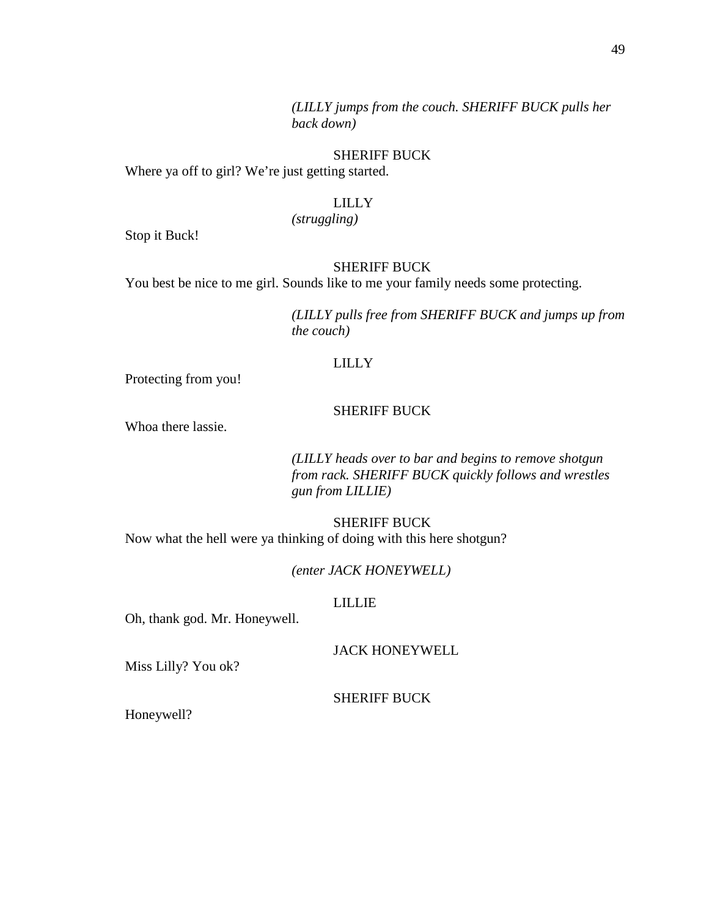# SHERIFF BUCK

Where ya off to girl? We're just getting started.

## LILLY

*(struggling)*

Stop it Buck!

# SHERIFF BUCK

You best be nice to me girl. Sounds like to me your family needs some protecting.

*(LILLY pulls free from SHERIFF BUCK and jumps up from the couch)*

# LILLY

Protecting from you!

## SHERIFF BUCK

Whoa there lassie.

*(LILLY heads over to bar and begins to remove shotgun from rack. SHERIFF BUCK quickly follows and wrestles gun from LILLIE)*

SHERIFF BUCK Now what the hell were ya thinking of doing with this here shotgun?

*(enter JACK HONEYWELL)*

#### LILLIE

Oh, thank god. Mr. Honeywell.

JACK HONEYWELL

Miss Lilly? You ok?

SHERIFF BUCK

Honeywell?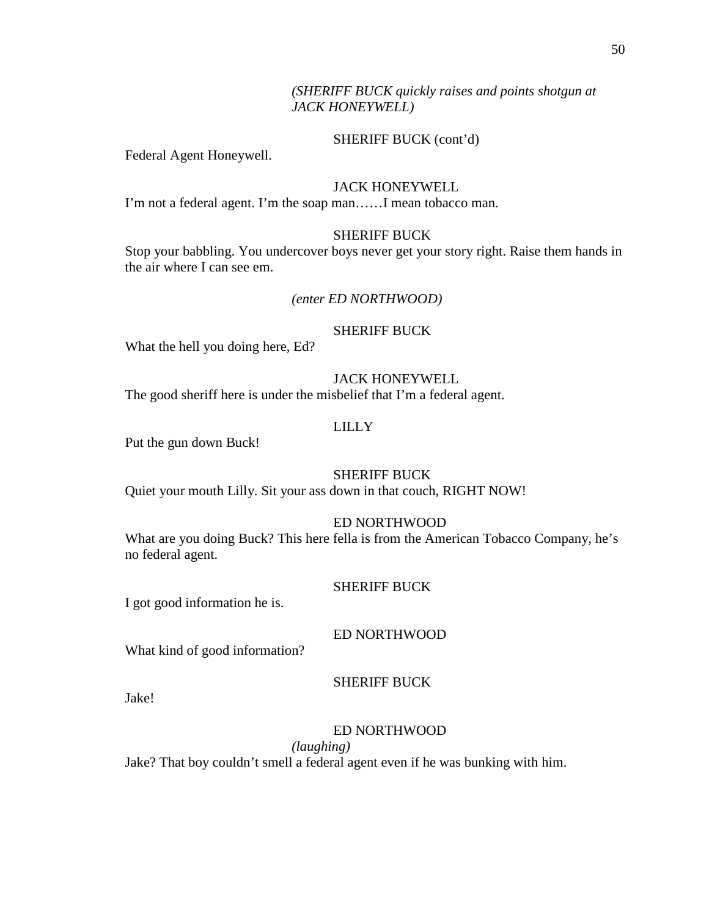# SHERIFF BUCK (cont'd)

Federal Agent Honeywell.

# JACK HONEYWELL

I'm not a federal agent. I'm the soap man……I mean tobacco man.

# SHERIFF BUCK

Stop your babbling. You undercover boys never get your story right. Raise them hands in the air where I can see em.

# *(enter ED NORTHWOOD)*

# SHERIFF BUCK

What the hell you doing here, Ed?

# JACK HONEYWELL

The good sheriff here is under the misbelief that I'm a federal agent.

# LILLY

Put the gun down Buck!

# SHERIFF BUCK

Quiet your mouth Lilly. Sit your ass down in that couch, RIGHT NOW!

## ED NORTHWOOD

What are you doing Buck? This here fella is from the American Tobacco Company, he's no federal agent.

## SHERIFF BUCK

I got good information he is.

## ED NORTHWOOD

What kind of good information?

## SHERIFF BUCK

Jake!

## ED NORTHWOOD

*(laughing)*

Jake? That boy couldn't smell a federal agent even if he was bunking with him.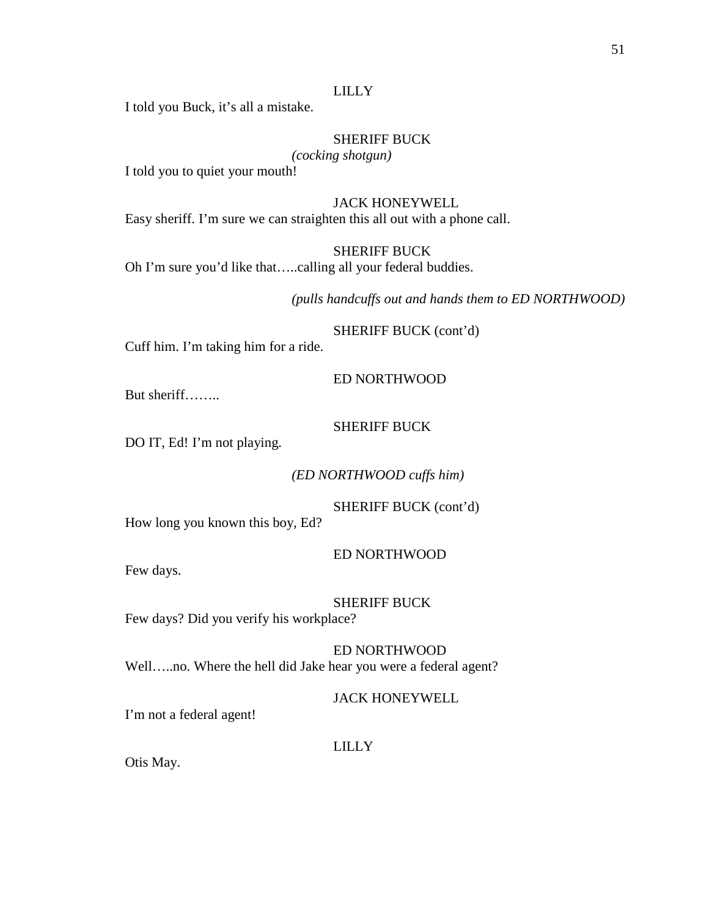# LILLY

I told you Buck, it's all a mistake.

# SHERIFF BUCK

# *(cocking shotgun)*

I told you to quiet your mouth!

## JACK HONEYWELL

Easy sheriff. I'm sure we can straighten this all out with a phone call.

SHERIFF BUCK

Oh I'm sure you'd like that…..calling all your federal buddies.

*(pulls handcuffs out and hands them to ED NORTHWOOD)*

SHERIFF BUCK (cont'd)

Cuff him. I'm taking him for a ride.

## ED NORTHWOOD

But sheriff……..

# SHERIFF BUCK

DO IT, Ed! I'm not playing.

*(ED NORTHWOOD cuffs him)*

SHERIFF BUCK (cont'd)

How long you known this boy, Ed?

ED NORTHWOOD

Few days.

SHERIFF BUCK

Few days? Did you verify his workplace?

ED NORTHWOOD Well…..no. Where the hell did Jake hear you were a federal agent?

JACK HONEYWELL

I'm not a federal agent!

# LILLY

Otis May.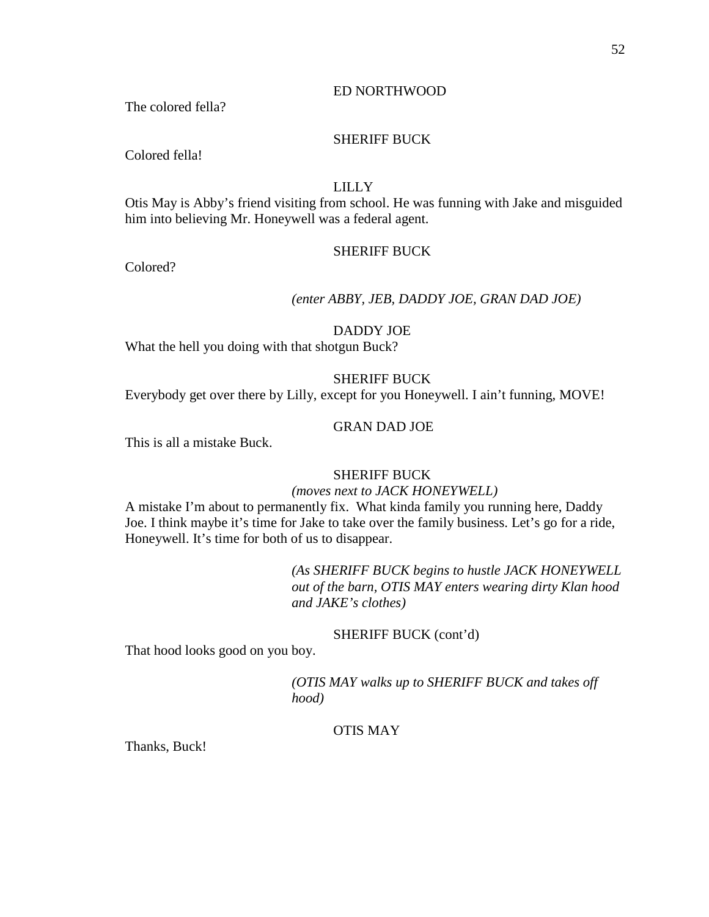## ED NORTHWOOD

The colored fella?

# SHERIFF BUCK

Colored fella!

# LILLY

Otis May is Abby's friend visiting from school. He was funning with Jake and misguided him into believing Mr. Honeywell was a federal agent.

#### SHERIFF BUCK

Colored?

# *(enter ABBY, JEB, DADDY JOE, GRAN DAD JOE)*

# DADDY JOE

What the hell you doing with that shotgun Buck?

# SHERIFF BUCK

Everybody get over there by Lilly, except for you Honeywell. I ain't funning, MOVE!

# GRAN DAD JOE

This is all a mistake Buck.

#### SHERIFF BUCK

#### *(moves next to JACK HONEYWELL)*

A mistake I'm about to permanently fix. What kinda family you running here, Daddy Joe. I think maybe it's time for Jake to take over the family business. Let's go for a ride, Honeywell. It's time for both of us to disappear.

> *(As SHERIFF BUCK begins to hustle JACK HONEYWELL out of the barn, OTIS MAY enters wearing dirty Klan hood and JAKE's clothes)*

#### SHERIFF BUCK (cont'd)

That hood looks good on you boy.

*(OTIS MAY walks up to SHERIFF BUCK and takes off hood)*

# OTIS MAY

Thanks, Buck!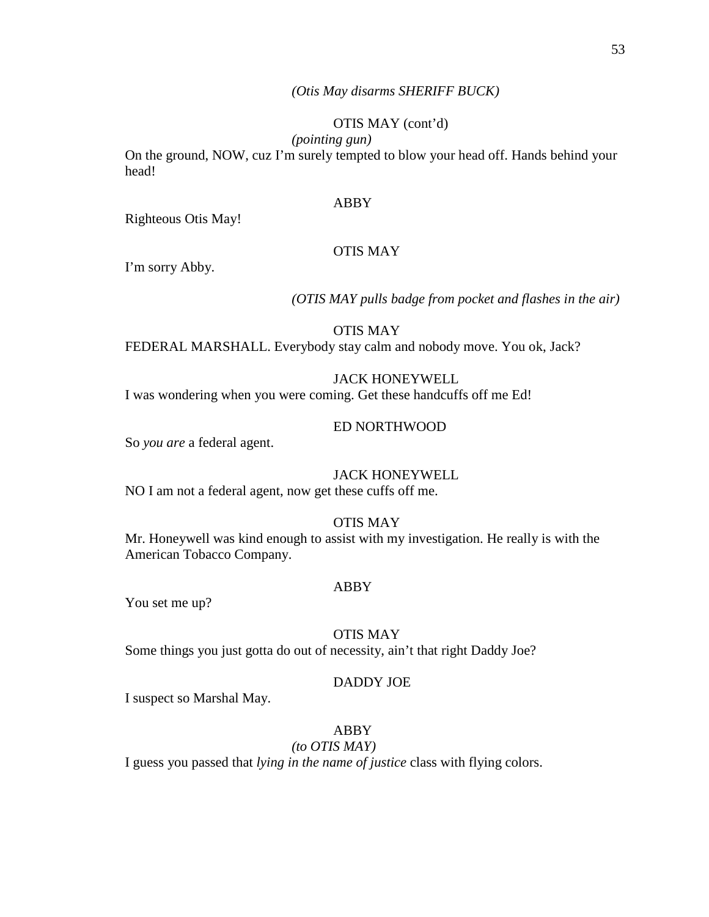## *(Otis May disarms SHERIFF BUCK)*

# OTIS MAY (cont'd)

*(pointing gun)*

On the ground, NOW, cuz I'm surely tempted to blow your head off. Hands behind your head!

#### ABBY

Righteous Otis May!

# OTIS MAY

I'm sorry Abby.

*(OTIS MAY pulls badge from pocket and flashes in the air)*

OTIS MAY FEDERAL MARSHALL. Everybody stay calm and nobody move. You ok, Jack?

# JACK HONEYWELL

I was wondering when you were coming. Get these handcuffs off me Ed!

## ED NORTHWOOD

So *you are* a federal agent.

# JACK HONEYWELL

NO I am not a federal agent, now get these cuffs off me.

# OTIS MAY

Mr. Honeywell was kind enough to assist with my investigation. He really is with the American Tobacco Company.

#### ABBY

You set me up?

#### OTIS MAY

Some things you just gotta do out of necessity, ain't that right Daddy Joe?

#### DADDY JOE

I suspect so Marshal May.

# ABBY

*(to OTIS MAY)*

I guess you passed that *lying in the name of justice* class with flying colors.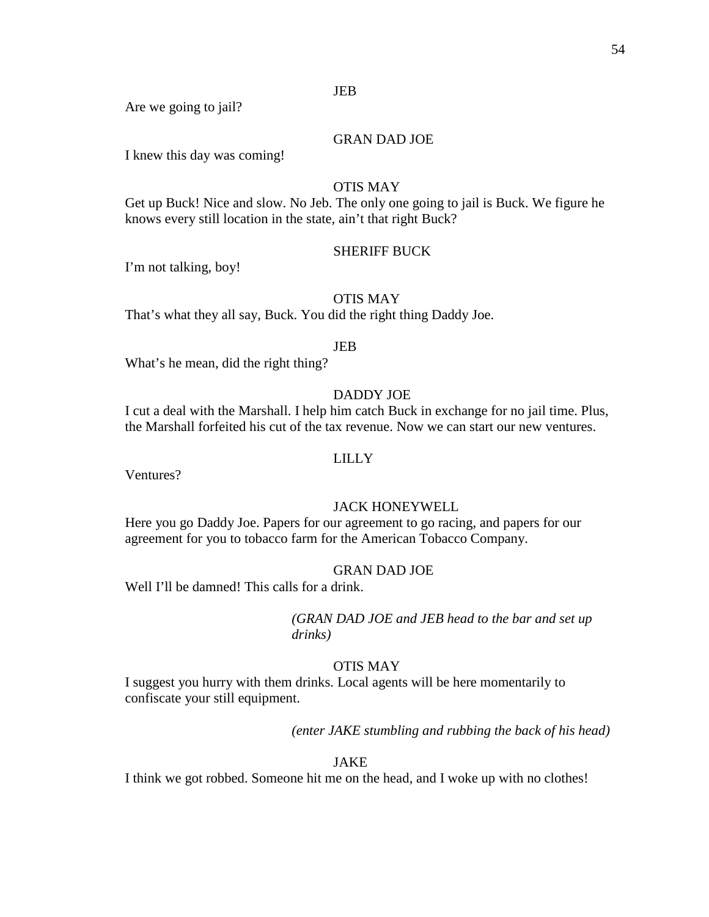# JEB

Are we going to jail?

# GRAN DAD JOE

I knew this day was coming!

# OTIS MAY

Get up Buck! Nice and slow. No Jeb. The only one going to jail is Buck. We figure he knows every still location in the state, ain't that right Buck?

# SHERIFF BUCK

I'm not talking, boy!

# OTIS MAY

That's what they all say, Buck. You did the right thing Daddy Joe.

## JEB

What's he mean, did the right thing?

# DADDY JOE

I cut a deal with the Marshall. I help him catch Buck in exchange for no jail time. Plus, the Marshall forfeited his cut of the tax revenue. Now we can start our new ventures.

# LILLY

Ventures?

## JACK HONEYWELL

Here you go Daddy Joe. Papers for our agreement to go racing, and papers for our agreement for you to tobacco farm for the American Tobacco Company.

## GRAN DAD JOE

Well I'll be damned! This calls for a drink.

*(GRAN DAD JOE and JEB head to the bar and set up drinks)*

## OTIS MAY

I suggest you hurry with them drinks. Local agents will be here momentarily to confiscate your still equipment.

*(enter JAKE stumbling and rubbing the back of his head)*

## JAKE

I think we got robbed. Someone hit me on the head, and I woke up with no clothes!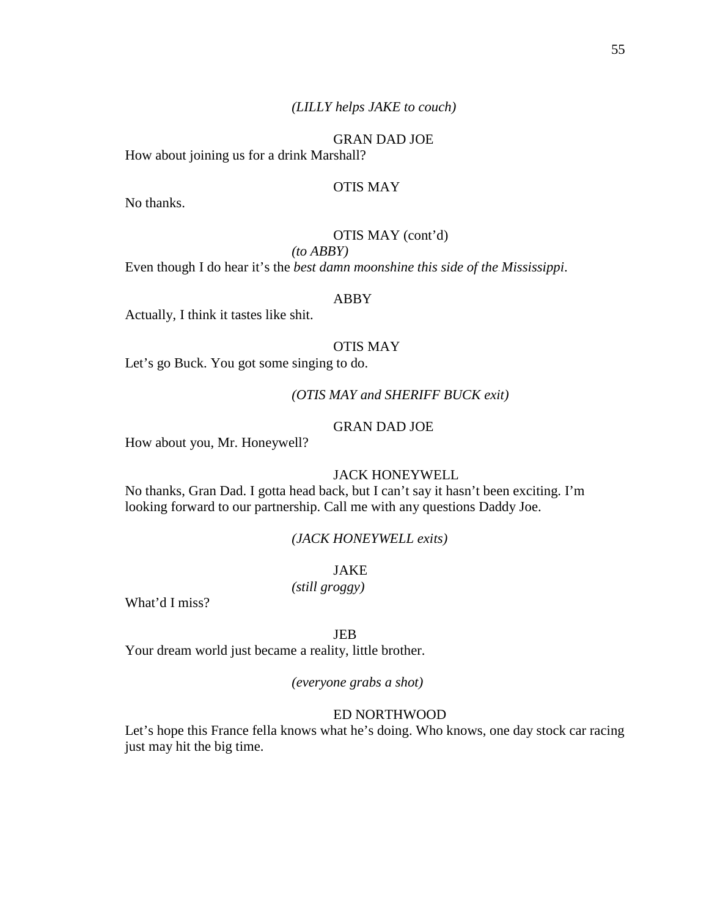GRAN DAD JOE How about joining us for a drink Marshall?

#### OTIS MAY

No thanks.

# OTIS MAY (cont'd)

# *(to ABBY)*

Even though I do hear it's the *best damn moonshine this side of the Mississippi*.

# ABBY

Actually, I think it tastes like shit.

# OTIS MAY

Let's go Buck. You got some singing to do.

#### *(OTIS MAY and SHERIFF BUCK exit)*

# GRAN DAD JOE

How about you, Mr. Honeywell?

#### JACK HONEYWELL

No thanks, Gran Dad. I gotta head back, but I can't say it hasn't been exciting. I'm looking forward to our partnership. Call me with any questions Daddy Joe.

#### *(JACK HONEYWELL exits)*

JAKE

*(still groggy)*

What'd I miss?

## JEB

Your dream world just became a reality, little brother.

#### *(everyone grabs a shot)*

#### ED NORTHWOOD

Let's hope this France fella knows what he's doing. Who knows, one day stock car racing just may hit the big time.